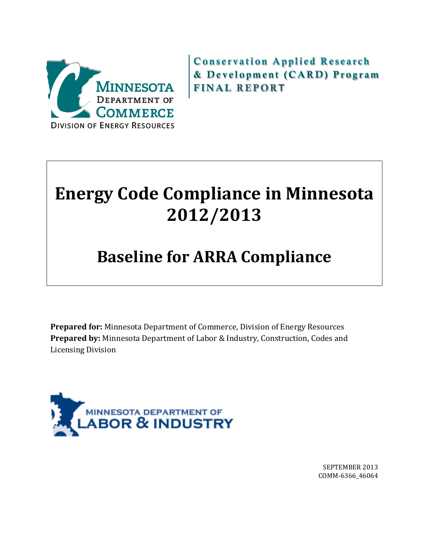

Conservation Applied Research & Development (CARD) Program FINAL REPOR**T** 

# **Energy Code Compliance in Minnesota 2012/2013**

# **Baseline for ARRA Compliance**

**Prepared for:** Minnesota Department of Commerce, Division of Energy Resources **Prepared by:** Minnesota Department of Labor & Industry, Construction, Codes and Licensing Division



SEPTEMBER 2013 COMM-6366\_46064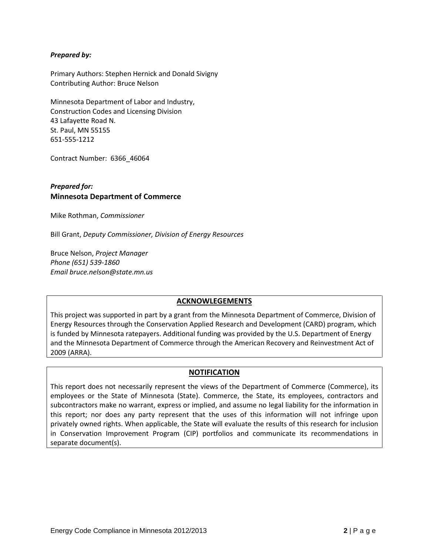#### *Prepared by:*

Primary Authors: Stephen Hernick and Donald Sivigny Contributing Author: Bruce Nelson

Minnesota Department of Labor and Industry, Construction Codes and Licensing Division 43 Lafayette Road N. St. Paul, MN 55155 651-555-1212

Contract Number: 6366\_46064

#### *Prepared for:* **Minnesota Department of Commerce**

Mike Rothman, *Commissioner*

Bill Grant, *Deputy Commissioner, Division of Energy Resources*

Bruce Nelson, *Project Manager Phone (651) 539-1860 Email bruce.nelson@state.mn.us*

#### **ACKNOWLEGEMENTS**

This project was supported in part by a grant from the Minnesota Department of Commerce, Division of Energy Resources through the Conservation Applied Research and Development (CARD) program, which is funded by Minnesota ratepayers. Additional funding was provided by the U.S. Department of Energy and the Minnesota Department of Commerce through the American Recovery and Reinvestment Act of 2009 (ARRA).

#### **NOTIFICATION**

This report does not necessarily represent the views of the Department of Commerce (Commerce), its employees or the State of Minnesota (State). Commerce, the State, its employees, contractors and subcontractors make no warrant, express or implied, and assume no legal liability for the information in this report; nor does any party represent that the uses of this information will not infringe upon privately owned rights. When applicable, the State will evaluate the results of this research for inclusion in Conservation Improvement Program (CIP) portfolios and communicate its recommendations in separate document(s).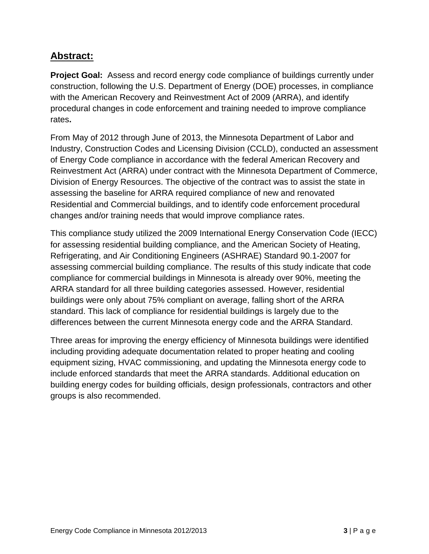### **Abstract:**

**Project Goal:** Assess and record energy code compliance of buildings currently under construction, following the U.S. Department of Energy (DOE) processes, in compliance with the American Recovery and Reinvestment Act of 2009 (ARRA), and identify procedural changes in code enforcement and training needed to improve compliance rates**.** 

From May of 2012 through June of 2013, the Minnesota Department of Labor and Industry, Construction Codes and Licensing Division (CCLD), conducted an assessment of Energy Code compliance in accordance with the federal American Recovery and Reinvestment Act (ARRA) under contract with the Minnesota Department of Commerce, Division of Energy Resources. The objective of the contract was to assist the state in assessing the baseline for ARRA required compliance of new and renovated Residential and Commercial buildings, and to identify code enforcement procedural changes and/or training needs that would improve compliance rates.

This compliance study utilized the 2009 International Energy Conservation Code (IECC) for assessing residential building compliance, and the American Society of Heating, Refrigerating, and Air Conditioning Engineers (ASHRAE) Standard 90.1-2007 for assessing commercial building compliance. The results of this study indicate that code compliance for commercial buildings in Minnesota is already over 90%, meeting the ARRA standard for all three building categories assessed. However, residential buildings were only about 75% compliant on average, falling short of the ARRA standard. This lack of compliance for residential buildings is largely due to the differences between the current Minnesota energy code and the ARRA Standard.

Three areas for improving the energy efficiency of Minnesota buildings were identified including providing adequate documentation related to proper heating and cooling equipment sizing, HVAC commissioning, and updating the Minnesota energy code to include enforced standards that meet the ARRA standards. Additional education on building energy codes for building officials, design professionals, contractors and other groups is also recommended.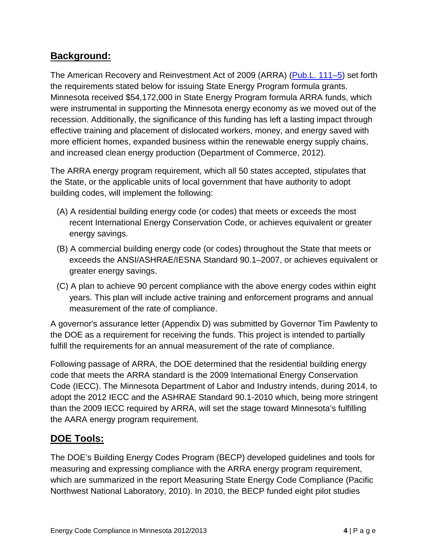### **Background:**

The American Recovery and Reinvestment Act of 2009 (ARRA) [\(Pub.L. 111–5\)](http://www.gpo.gov/fdsys/pkg/PLAW-111publ5/pdf/PLAW-111publ5.pdf) set forth the requirements stated below for issuing State Energy Program formula grants. Minnesota received \$54,172,000 in State Energy Program formula ARRA funds, which were instrumental in supporting the Minnesota energy economy as we moved out of the recession. Additionally, the significance of this funding has left a lasting impact through effective training and placement of dislocated workers, money, and energy saved with more efficient homes, expanded business within the renewable energy supply chains, and increased clean energy production (Department of Commerce, 2012).

The ARRA energy program requirement, which all 50 states accepted, stipulates that the State, or the applicable units of local government that have authority to adopt building codes, will implement the following:

- (A) A residential building energy code (or codes) that meets or exceeds the most recent International Energy Conservation Code, or achieves equivalent or greater energy savings.
- (B) A commercial building energy code (or codes) throughout the State that meets or exceeds the ANSI/ASHRAE/IESNA Standard 90.1–2007, or achieves equivalent or greater energy savings.
- (C) A plan to achieve 90 percent compliance with the above energy codes within eight years. This plan will include active training and enforcement programs and annual measurement of the rate of compliance.

A governor's assurance letter (Appendix D) was submitted by Governor Tim Pawlenty to the DOE as a requirement for receiving the funds. This project is intended to partially fulfill the requirements for an annual measurement of the rate of compliance.

Following passage of ARRA, the DOE determined that the residential building energy code that meets the ARRA standard is the 2009 International Energy Conservation Code (IECC). The Minnesota Department of Labor and Industry intends, during 2014, to adopt the 2012 IECC and the ASHRAE Standard 90.1-2010 which, being more stringent than the 2009 IECC required by ARRA, will set the stage toward Minnesota's fulfilling the AARA energy program requirement.

### **DOE Tools:**

The DOE's Building Energy Codes Program (BECP) developed guidelines and tools for measuring and expressing compliance with the ARRA energy program requirement, which are summarized in the report Measuring State Energy Code Compliance (Pacific Northwest National Laboratory, 2010). In 2010, the BECP funded eight pilot studies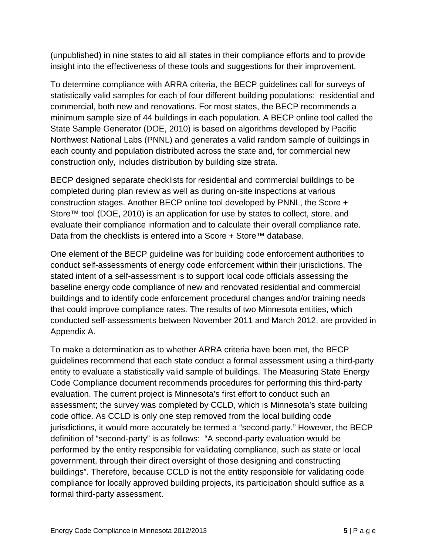(unpublished) in nine states to aid all states in their compliance efforts and to provide insight into the effectiveness of these tools and suggestions for their improvement.

To determine compliance with ARRA criteria, the BECP guidelines call for surveys of statistically valid samples for each of four different building populations: residential and commercial, both new and renovations. For most states, the BECP recommends a minimum sample size of 44 buildings in each population. A BECP online tool called the State Sample Generator (DOE, 2010) is based on algorithms developed by Pacific Northwest National Labs (PNNL) and generates a valid random sample of buildings in each county and population distributed across the state and, for commercial new construction only, includes distribution by building size strata.

BECP designed separate checklists for residential and commercial buildings to be completed during plan review as well as during on-site inspections at various construction stages. Another BECP online tool developed by PNNL, the Score + Store™ tool (DOE, 2010) is an application for use by states to collect, store, and evaluate their compliance information and to calculate their overall compliance rate. Data from the checklists is entered into a Score + Store™ database.

One element of the BECP guideline was for building code enforcement authorities to conduct self-assessments of energy code enforcement within their jurisdictions. The stated intent of a self-assessment is to support local code officials assessing the baseline energy code compliance of new and renovated residential and commercial buildings and to identify code enforcement procedural changes and/or training needs that could improve compliance rates. The results of two Minnesota entities, which conducted self-assessments between November 2011 and March 2012, are provided in Appendix A.

To make a determination as to whether ARRA criteria have been met, the BECP guidelines recommend that each state conduct a formal assessment using a third-party entity to evaluate a statistically valid sample of buildings. The Measuring State Energy Code Compliance document recommends procedures for performing this third-party evaluation. The current project is Minnesota's first effort to conduct such an assessment; the survey was completed by CCLD, which is Minnesota's state building code office. As CCLD is only one step removed from the local building code jurisdictions, it would more accurately be termed a "second-party." However, the BECP definition of "second-party" is as follows: "A second-party evaluation would be performed by the entity responsible for validating compliance, such as state or local government, through their direct oversight of those designing and constructing buildings". Therefore, because CCLD is not the entity responsible for validating code compliance for locally approved building projects, its participation should suffice as a formal third-party assessment.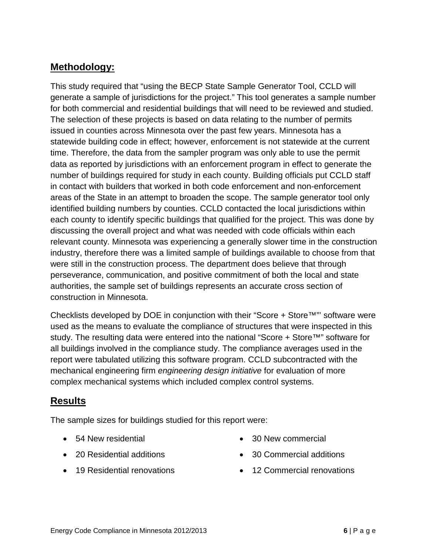### **Methodology:**

This study required that "using the BECP State Sample Generator Tool, CCLD will generate a sample of jurisdictions for the project." This tool generates a sample number for both commercial and residential buildings that will need to be reviewed and studied. The selection of these projects is based on data relating to the number of permits issued in counties across Minnesota over the past few years. Minnesota has a statewide building code in effect; however, enforcement is not statewide at the current time. Therefore, the data from the sampler program was only able to use the permit data as reported by jurisdictions with an enforcement program in effect to generate the number of buildings required for study in each county. Building officials put CCLD staff in contact with builders that worked in both code enforcement and non-enforcement areas of the State in an attempt to broaden the scope. The sample generator tool only identified building numbers by counties. CCLD contacted the local jurisdictions within each county to identify specific buildings that qualified for the project. This was done by discussing the overall project and what was needed with code officials within each relevant county. Minnesota was experiencing a generally slower time in the construction industry, therefore there was a limited sample of buildings available to choose from that were still in the construction process. The department does believe that through perseverance, communication, and positive commitment of both the local and state authorities, the sample set of buildings represents an accurate cross section of construction in Minnesota.

Checklists developed by DOE in conjunction with their "Score + Store™"' software were used as the means to evaluate the compliance of structures that were inspected in this study. The resulting data were entered into the national "Score + Store™" software for all buildings involved in the compliance study. The compliance averages used in the report were tabulated utilizing this software program. CCLD subcontracted with the mechanical engineering firm *engineering design initiative* for evaluation of more complex mechanical systems which included complex control systems.

### **Results**

The sample sizes for buildings studied for this report were:

- 54 New residential
- 20 Residential additions
- 19 Residential renovations
- 30 New commercial
- 30 Commercial additions
- 12 Commercial renovations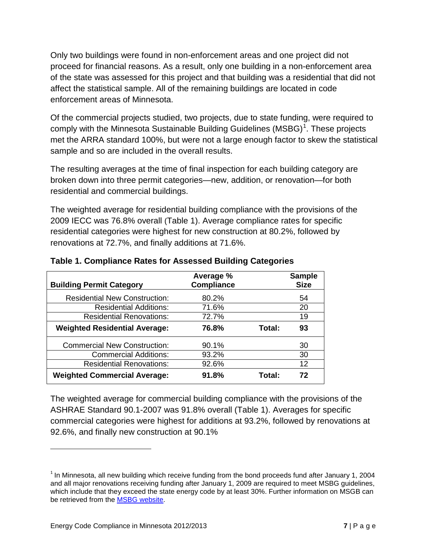Only two buildings were found in non-enforcement areas and one project did not proceed for financial reasons. As a result, only one building in a non-enforcement area of the state was assessed for this project and that building was a residential that did not affect the statistical sample. All of the remaining buildings are located in code enforcement areas of Minnesota.

Of the commercial projects studied, two projects, due to state funding, were required to comply with the Minnesota Sustainable Building Guidelines (MSBG)<sup>[1](#page-6-1)</sup>. These projects met the ARRA standard 100%, but were not a large enough factor to skew the statistical sample and so are included in the overall results.

The resulting averages at the time of final inspection for each building category are broken down into three permit categories—new, addition, or renovation—for both residential and commercial buildings.

The weighted average for residential building compliance with the provisions of the 2009 IECC was 76.8% overall [\(Table 1\)](#page-6-0). Average compliance rates for specific residential categories were highest for new construction at 80.2%, followed by renovations at 72.7%, and finally additions at 71.6%.

| <b>Building Permit Category</b>      | Average %<br><b>Compliance</b> |        | <b>Sample</b><br><b>Size</b> |
|--------------------------------------|--------------------------------|--------|------------------------------|
| <b>Residential New Construction:</b> | 80.2%                          |        | 54                           |
| <b>Residential Additions:</b>        | 71.6%                          |        | 20                           |
| <b>Residential Renovations:</b>      | 72.7%                          |        | 19                           |
| <b>Weighted Residential Average:</b> | 76.8%                          | Total: | 93                           |
| <b>Commercial New Construction:</b>  | 90.1%                          |        | 30                           |
| <b>Commercial Additions:</b>         | 93.2%                          |        | 30                           |
| <b>Residential Renovations:</b>      | 92.6%                          |        | 12                           |
| <b>Weighted Commercial Average:</b>  | 91.8%                          | Total: | 72                           |

#### <span id="page-6-0"></span>**Table 1. Compliance Rates for Assessed Building Categories**

The weighted average for commercial building compliance with the provisions of the ASHRAE Standard 90.1-2007 was 91.8% overall [\(Table 1\)](#page-6-0). Averages for specific commercial categories were highest for additions at 93.2%, followed by renovations at 92.6%, and finally new construction at 90.1%

 $\overline{a}$ 

<span id="page-6-1"></span> $<sup>1</sup>$  In Minnesota, all new building which receive funding from the bond proceeds fund after January 1, 2004</sup> and all major renovations receiving funding after January 1, 2009 are required to meet MSBG guidelines, which include that they exceed the state energy code by at least 30%. Further information on MSGB can be retrieved from the [MSBG website.](http://www.msbg.umn.edu/)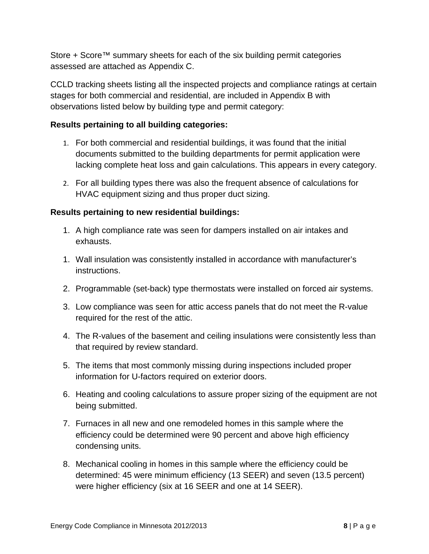Store + Score™ summary sheets for each of the six building permit categories assessed are attached as Appendix C.

CCLD tracking sheets listing all the inspected projects and compliance ratings at certain stages for both commercial and residential, are included in Appendix B with observations listed below by building type and permit category:

#### **Results pertaining to all building categories:**

- 1. For both commercial and residential buildings, it was found that the initial documents submitted to the building departments for permit application were lacking complete heat loss and gain calculations. This appears in every category.
- 2. For all building types there was also the frequent absence of calculations for HVAC equipment sizing and thus proper duct sizing.

#### **Results pertaining to new residential buildings:**

- 1. A high compliance rate was seen for dampers installed on air intakes and exhausts.
- 1. Wall insulation was consistently installed in accordance with manufacturer's instructions.
- 2. Programmable (set-back) type thermostats were installed on forced air systems.
- 3. Low compliance was seen for attic access panels that do not meet the R-value required for the rest of the attic.
- 4. The R-values of the basement and ceiling insulations were consistently less than that required by review standard.
- 5. The items that most commonly missing during inspections included proper information for U-factors required on exterior doors.
- 6. Heating and cooling calculations to assure proper sizing of the equipment are not being submitted.
- 7. Furnaces in all new and one remodeled homes in this sample where the efficiency could be determined were 90 percent and above high efficiency condensing units.
- 8. Mechanical cooling in homes in this sample where the efficiency could be determined: 45 were minimum efficiency (13 SEER) and seven (13.5 percent) were higher efficiency (six at 16 SEER and one at 14 SEER).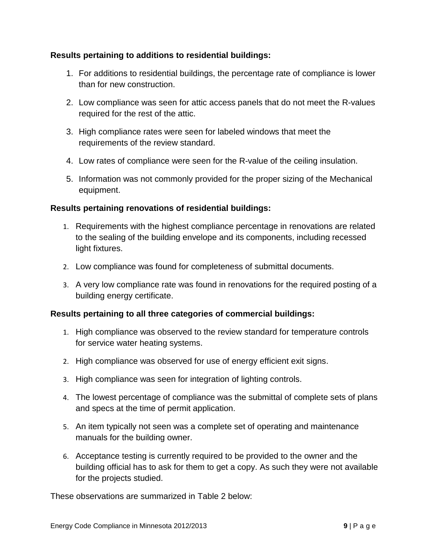#### **Results pertaining to additions to residential buildings:**

- 1. For additions to residential buildings, the percentage rate of compliance is lower than for new construction.
- 2. Low compliance was seen for attic access panels that do not meet the R-values required for the rest of the attic.
- 3. High compliance rates were seen for labeled windows that meet the requirements of the review standard.
- 4. Low rates of compliance were seen for the R-value of the ceiling insulation.
- 5. Information was not commonly provided for the proper sizing of the Mechanical equipment.

#### **Results pertaining renovations of residential buildings:**

- 1. Requirements with the highest compliance percentage in renovations are related to the sealing of the building envelope and its components, including recessed light fixtures.
- 2. Low compliance was found for completeness of submittal documents.
- 3. A very low compliance rate was found in renovations for the required posting of a building energy certificate.

#### **Results pertaining to all three categories of commercial buildings:**

- 1. High compliance was observed to the review standard for temperature controls for service water heating systems.
- 2. High compliance was observed for use of energy efficient exit signs.
- 3. High compliance was seen for integration of lighting controls.
- 4. The lowest percentage of compliance was the submittal of complete sets of plans and specs at the time of permit application.
- 5. An item typically not seen was a complete set of operating and maintenance manuals for the building owner.
- 6. Acceptance testing is currently required to be provided to the owner and the building official has to ask for them to get a copy. As such they were not available for the projects studied.

These observations are summarized in [Table 2](#page-9-0) below: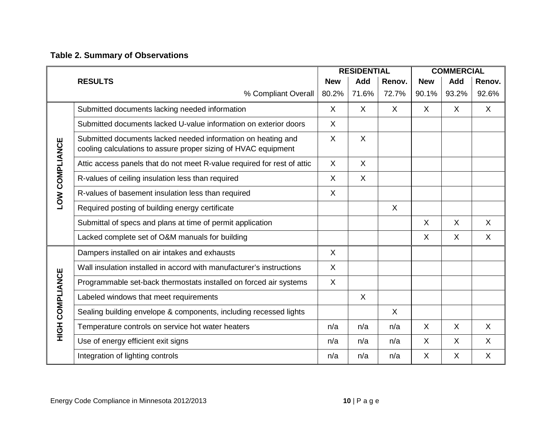## **Table 2. Summary of Observations**

<span id="page-9-0"></span>

|                       |                                                                                                                                |            | <b>RESIDENTIAL</b> |         |              | <b>COMMERCIAL</b> |              |
|-----------------------|--------------------------------------------------------------------------------------------------------------------------------|------------|--------------------|---------|--------------|-------------------|--------------|
|                       | <b>RESULTS</b>                                                                                                                 | <b>New</b> | Add                | Renov.  | <b>New</b>   | Add               | Renov.       |
|                       | % Compliant Overall                                                                                                            | 80.2%      | 71.6%              | 72.7%   | 90.1%        | 93.2%             | 92.6%        |
|                       | Submitted documents lacking needed information                                                                                 | X          | $\sf X$            | X       | X.           | $\sf X$           | X            |
|                       | Submitted documents lacked U-value information on exterior doors                                                               | $\sf X$    |                    |         |              |                   |              |
| <b>LOW COMPLIANCE</b> | Submitted documents lacked needed information on heating and<br>cooling calculations to assure proper sizing of HVAC equipment | $\sf X$    | $\sf X$            |         |              |                   |              |
|                       | Attic access panels that do not meet R-value required for rest of attic                                                        | $\sf X$    | $\sf X$            |         |              |                   |              |
|                       | R-values of ceiling insulation less than required                                                                              | X          | X                  |         |              |                   |              |
|                       | R-values of basement insulation less than required                                                                             | X          |                    |         |              |                   |              |
|                       | Required posting of building energy certificate                                                                                |            |                    | $\sf X$ |              |                   |              |
|                       | Submittal of specs and plans at time of permit application                                                                     |            |                    |         | X.           | $\sf X$           | X            |
|                       | Lacked complete set of O&M manuals for building                                                                                |            |                    |         | X.           | $\sf X$           | X            |
|                       | Dampers installed on air intakes and exhausts                                                                                  | $\sf X$    |                    |         |              |                   |              |
|                       | Wall insulation installed in accord with manufacturer's instructions                                                           | $\sf X$    |                    |         |              |                   |              |
|                       | Programmable set-back thermostats installed on forced air systems                                                              | X          |                    |         |              |                   |              |
|                       | Labeled windows that meet requirements                                                                                         |            | $\sf X$            |         |              |                   |              |
|                       | Sealing building envelope & components, including recessed lights                                                              |            |                    | $\sf X$ |              |                   |              |
| HIGH COMPLIANCE       | Temperature controls on service hot water heaters                                                                              | n/a        | n/a                | n/a     | $\mathsf{X}$ | $\sf X$           | X            |
|                       | Use of energy efficient exit signs                                                                                             | n/a        | n/a                | n/a     | $\sf X$      | $\sf X$           | $\mathsf{X}$ |
|                       | Integration of lighting controls                                                                                               | n/a        | n/a                | n/a     | $\mathsf{X}$ | X                 | X            |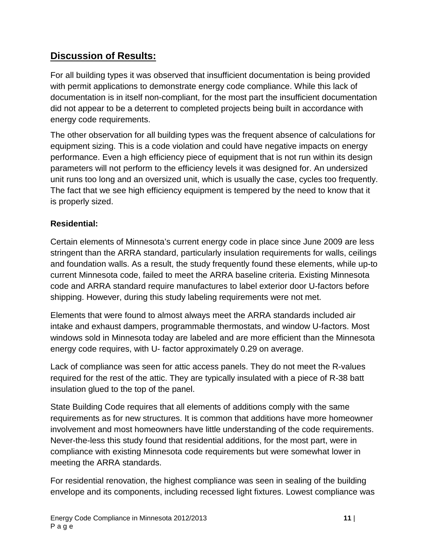## **Discussion of Results:**

For all building types it was observed that insufficient documentation is being provided with permit applications to demonstrate energy code compliance. While this lack of documentation is in itself non-compliant, for the most part the insufficient documentation did not appear to be a deterrent to completed projects being built in accordance with energy code requirements.

The other observation for all building types was the frequent absence of calculations for equipment sizing. This is a code violation and could have negative impacts on energy performance. Even a high efficiency piece of equipment that is not run within its design parameters will not perform to the efficiency levels it was designed for. An undersized unit runs too long and an oversized unit, which is usually the case, cycles too frequently. The fact that we see high efficiency equipment is tempered by the need to know that it is properly sized.

### **Residential:**

Certain elements of Minnesota's current energy code in place since June 2009 are less stringent than the ARRA standard, particularly insulation requirements for walls, ceilings and foundation walls. As a result, the study frequently found these elements, while up-to current Minnesota code, failed to meet the ARRA baseline criteria. Existing Minnesota code and ARRA standard require manufactures to label exterior door U-factors before shipping. However, during this study labeling requirements were not met.

Elements that were found to almost always meet the ARRA standards included air intake and exhaust dampers, programmable thermostats, and window U-factors. Most windows sold in Minnesota today are labeled and are more efficient than the Minnesota energy code requires, with U- factor approximately 0.29 on average.

Lack of compliance was seen for attic access panels. They do not meet the R-values required for the rest of the attic. They are typically insulated with a piece of R-38 batt insulation glued to the top of the panel.

State Building Code requires that all elements of additions comply with the same requirements as for new structures. It is common that additions have more homeowner involvement and most homeowners have little understanding of the code requirements. Never-the-less this study found that residential additions, for the most part, were in compliance with existing Minnesota code requirements but were somewhat lower in meeting the ARRA standards.

For residential renovation, the highest compliance was seen in sealing of the building envelope and its components, including recessed light fixtures. Lowest compliance was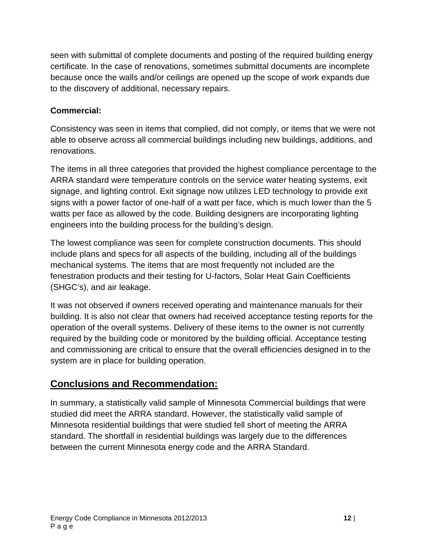seen with submittal of complete documents and posting of the required building energy certificate. In the case of renovations, sometimes submittal documents are incomplete because once the walls and/or ceilings are opened up the scope of work expands due to the discovery of additional, necessary repairs.

### **Commercial:**

Consistency was seen in items that complied, did not comply, or items that we were not able to observe across all commercial buildings including new buildings, additions, and renovations.

The items in all three categories that provided the highest compliance percentage to the ARRA standard were temperature controls on the service water heating systems, exit signage, and lighting control. Exit signage now utilizes LED technology to provide exit signs with a power factor of one-half of a watt per face, which is much lower than the 5 watts per face as allowed by the code. Building designers are incorporating lighting engineers into the building process for the building's design.

The lowest compliance was seen for complete construction documents. This should include plans and specs for all aspects of the building, including all of the buildings mechanical systems. The items that are most frequently not included are the fenestration products and their testing for U-factors, Solar Heat Gain Coefficients (SHGC's), and air leakage.

It was not observed if owners received operating and maintenance manuals for their building. It is also not clear that owners had received acceptance testing reports for the operation of the overall systems. Delivery of these items to the owner is not currently required by the building code or monitored by the building official. Acceptance testing and commissioning are critical to ensure that the overall efficiencies designed in to the system are in place for building operation.

## **Conclusions and Recommendation:**

In summary, a statistically valid sample of Minnesota Commercial buildings that were studied did meet the ARRA standard. However, the statistically valid sample of Minnesota residential buildings that were studied fell short of meeting the ARRA standard. The shortfall in residential buildings was largely due to the differences between the current Minnesota energy code and the ARRA Standard.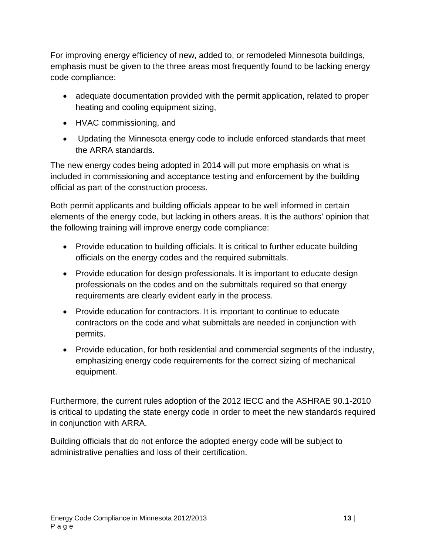For improving energy efficiency of new, added to, or remodeled Minnesota buildings, emphasis must be given to the three areas most frequently found to be lacking energy code compliance:

- adequate documentation provided with the permit application, related to proper heating and cooling equipment sizing,
- HVAC commissioning, and
- Updating the Minnesota energy code to include enforced standards that meet the ARRA standards.

The new energy codes being adopted in 2014 will put more emphasis on what is included in commissioning and acceptance testing and enforcement by the building official as part of the construction process.

Both permit applicants and building officials appear to be well informed in certain elements of the energy code, but lacking in others areas. It is the authors' opinion that the following training will improve energy code compliance:

- Provide education to building officials. It is critical to further educate building officials on the energy codes and the required submittals.
- Provide education for design professionals. It is important to educate design professionals on the codes and on the submittals required so that energy requirements are clearly evident early in the process.
- Provide education for contractors. It is important to continue to educate contractors on the code and what submittals are needed in conjunction with permits.
- Provide education, for both residential and commercial segments of the industry, emphasizing energy code requirements for the correct sizing of mechanical equipment.

Furthermore, the current rules adoption of the 2012 IECC and the ASHRAE 90.1-2010 is critical to updating the state energy code in order to meet the new standards required in conjunction with ARRA.

Building officials that do not enforce the adopted energy code will be subject to administrative penalties and loss of their certification.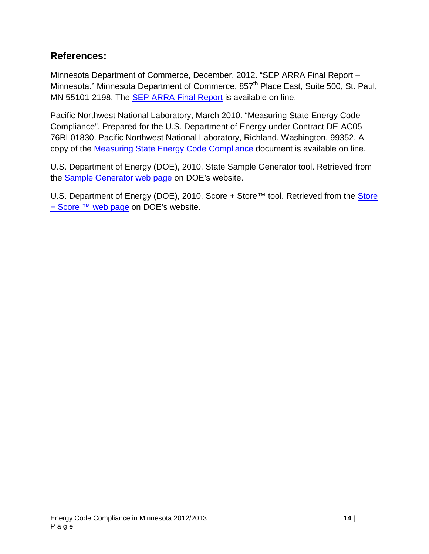### **References:**

Minnesota Department of Commerce, December, 2012. "SEP ARRA Final Report – Minnesota." Minnesota Department of Commerce, 857<sup>th</sup> Place East, Suite 500, St. Paul, MN 55101-2198. The [SEP ARRA Final Report](http://mn.gov/commerce/energy/images/SEP-ARRA-Final-Report-2-28-12.pdf) is available on line.

Pacific Northwest National Laboratory, March 2010. "Measuring State Energy Code Compliance", Prepared for the U.S. Department of Energy under Contract DE-AC05- 76RL01830. Pacific Northwest National Laboratory, Richland, Washington, 99352. A copy of the [Measuring State Energy Code Compliance](http://www.energycodes.gov/measuring-state-energy-code-compliance) document is available on line.

U.S. Department of Energy (DOE), 2010. State Sample Generator tool. Retrieved from the [Sample Generator web page](https://energycode.pnl.gov/SampleGen/) on DOE's website.

U.S. Department of Energy (DOE), 2010. Score + Store™ tool. Retrieved from the Store [+ Score ™ web page](https://energycode.pnl.gov/ScoreStore/login) on DOE's website.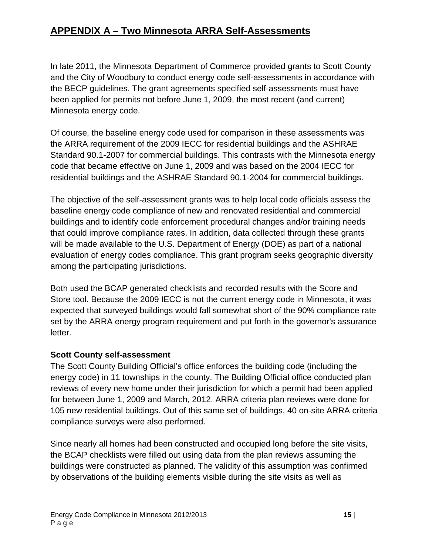## **APPENDIX A – Two Minnesota ARRA Self-Assessments**

In late 2011, the Minnesota Department of Commerce provided grants to Scott County and the City of Woodbury to conduct energy code self-assessments in accordance with the BECP guidelines. The grant agreements specified self-assessments must have been applied for permits not before June 1, 2009, the most recent (and current) Minnesota energy code.

Of course, the baseline energy code used for comparison in these assessments was the ARRA requirement of the 2009 IECC for residential buildings and the ASHRAE Standard 90.1-2007 for commercial buildings. This contrasts with the Minnesota energy code that became effective on June 1, 2009 and was based on the 2004 IECC for residential buildings and the ASHRAE Standard 90.1-2004 for commercial buildings.

The objective of the self-assessment grants was to help local code officials assess the baseline energy code compliance of new and renovated residential and commercial buildings and to identify code enforcement procedural changes and/or training needs that could improve compliance rates. In addition, data collected through these grants will be made available to the U.S. Department of Energy (DOE) as part of a national evaluation of energy codes compliance. This grant program seeks geographic diversity among the participating jurisdictions.

Both used the BCAP generated checklists and recorded results with the Score and Store tool. Because the 2009 IECC is not the current energy code in Minnesota, it was expected that surveyed buildings would fall somewhat short of the 90% compliance rate set by the ARRA energy program requirement and put forth in the governor's assurance letter.

### **Scott County self-assessment**

The Scott County Building Official's office enforces the building code (including the energy code) in 11 townships in the county. The Building Official office conducted plan reviews of every new home under their jurisdiction for which a permit had been applied for between June 1, 2009 and March, 2012. ARRA criteria plan reviews were done for 105 new residential buildings. Out of this same set of buildings, 40 on-site ARRA criteria compliance surveys were also performed.

Since nearly all homes had been constructed and occupied long before the site visits, the BCAP checklists were filled out using data from the plan reviews assuming the buildings were constructed as planned. The validity of this assumption was confirmed by observations of the building elements visible during the site visits as well as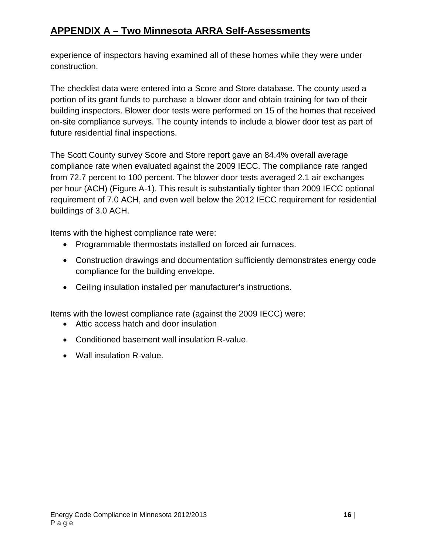## **APPENDIX A – Two Minnesota ARRA Self-Assessments**

experience of inspectors having examined all of these homes while they were under construction.

The checklist data were entered into a Score and Store database. The county used a portion of its grant funds to purchase a blower door and obtain training for two of their building inspectors. Blower door tests were performed on 15 of the homes that received on-site compliance surveys. The county intends to include a blower door test as part of future residential final inspections.

The Scott County survey Score and Store report gave an 84.4% overall average compliance rate when evaluated against the 2009 IECC. The compliance rate ranged from 72.7 percent to 100 percent. The blower door tests averaged 2.1 air exchanges per hour (ACH) (Figure A-1). This result is substantially tighter than 2009 IECC optional requirement of 7.0 ACH, and even well below the 2012 IECC requirement for residential buildings of 3.0 ACH.

Items with the highest compliance rate were:

- Programmable thermostats installed on forced air furnaces.
- Construction drawings and documentation sufficiently demonstrates energy code compliance for the building envelope.
- Ceiling insulation installed per manufacturer's instructions.

Items with the lowest compliance rate (against the 2009 IECC) were:

- Attic access hatch and door insulation
- Conditioned basement wall insulation R-value.
- Wall insulation R-value.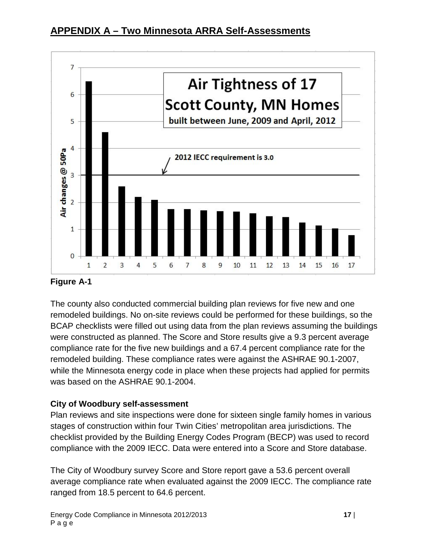



#### **Figure A-1**

The county also conducted commercial building plan reviews for five new and one remodeled buildings. No on-site reviews could be performed for these buildings, so the BCAP checklists were filled out using data from the plan reviews assuming the buildings were constructed as planned. The Score and Store results give a 9.3 percent average compliance rate for the five new buildings and a 67.4 percent compliance rate for the remodeled building. These compliance rates were against the ASHRAE 90.1-2007, while the Minnesota energy code in place when these projects had applied for permits was based on the ASHRAE 90.1-2004.

### **City of Woodbury self-assessment**

Plan reviews and site inspections were done for sixteen single family homes in various stages of construction within four Twin Cities' metropolitan area jurisdictions. The checklist provided by the Building Energy Codes Program (BECP) was used to record compliance with the 2009 IECC. Data were entered into a Score and Store database.

The City of Woodbury survey Score and Store report gave a 53.6 percent overall average compliance rate when evaluated against the 2009 IECC. The compliance rate ranged from 18.5 percent to 64.6 percent.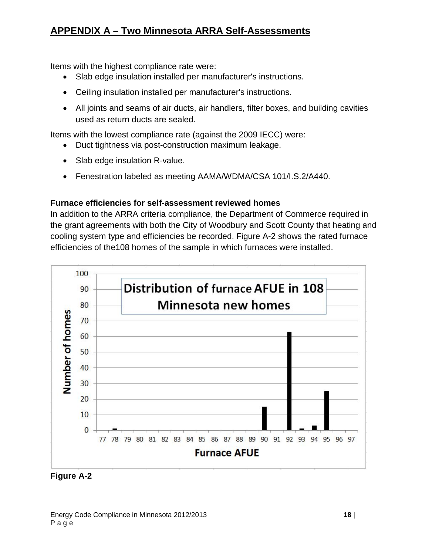### **APPENDIX A – Two Minnesota ARRA Self-Assessments**

Items with the highest compliance rate were:

- Slab edge insulation installed per manufacturer's instructions.
- Ceiling insulation installed per manufacturer's instructions.
- All joints and seams of air ducts, air handlers, filter boxes, and building cavities used as return ducts are sealed.

Items with the lowest compliance rate (against the 2009 IECC) were:

- Duct tightness via post-construction maximum leakage.
- Slab edge insulation R-value.
- Fenestration labeled as meeting AAMA/WDMA/CSA 101/I.S.2/A440.

#### **Furnace efficiencies for self-assessment reviewed homes**

In addition to the ARRA criteria compliance, the Department of Commerce required in the grant agreements with both the City of Woodbury and Scott County that heating and cooling system type and efficiencies be recorded. Figure A-2 shows the rated furnace efficiencies of the108 homes of the sample in which furnaces were installed.



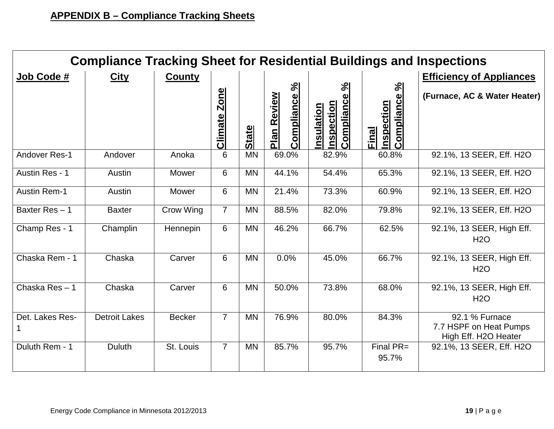| <b>Compliance Tracking Sheet for Residential Buildings and Inspections</b> |                      |               |                               |              |                                                      |                                                                              |                                                      |                                                                  |  |  |  |  |  |
|----------------------------------------------------------------------------|----------------------|---------------|-------------------------------|--------------|------------------------------------------------------|------------------------------------------------------------------------------|------------------------------------------------------|------------------------------------------------------------------|--|--|--|--|--|
| Job Code #                                                                 | <b>City</b>          | <b>County</b> |                               |              |                                                      |                                                                              |                                                      | <b>Efficiency of Appliances</b>                                  |  |  |  |  |  |
|                                                                            |                      |               | <b>Zone</b><br><b>Climate</b> | <b>State</b> | $\mathcal{S}$<br>Compliance<br>Review<br><u>Plan</u> | $\mathbb{S}$<br>Φ<br>Complianc<br><b>nspection</b><br><u>sulation</u><br>nsı | $\aleph$<br>Compliance<br><b>Inspection</b><br>Final | (Furnace, AC & Water Heater)                                     |  |  |  |  |  |
| Andover Res-1                                                              | Andover              | Anoka         | 6                             | <b>MN</b>    | 69.0%                                                | 82.9%                                                                        | 60.8%                                                | 92.1%, 13 SEER, Eff. H2O                                         |  |  |  |  |  |
| Austin Res - 1                                                             | Austin               | Mower         | 6                             | <b>MN</b>    | 44.1%                                                | 54.4%                                                                        | 65.3%                                                | 92.1%, 13 SEER, Eff. H2O                                         |  |  |  |  |  |
| <b>Austin Rem-1</b>                                                        | Austin               | Mower         | 6                             | <b>MN</b>    | 21.4%                                                | 73.3%                                                                        | 60.9%                                                | 92.1%, 13 SEER, Eff. H2O                                         |  |  |  |  |  |
| Baxter Res $-1$                                                            | <b>Baxter</b>        | Crow Wing     | $\overline{7}$                | <b>MN</b>    | 88.5%                                                | 82.0%                                                                        | 79.8%                                                | 92.1%, 13 SEER, Eff. H2O                                         |  |  |  |  |  |
| Champ Res - 1                                                              | Champlin             | Hennepin      | 6                             | <b>MN</b>    | 46.2%                                                | 66.7%                                                                        | 62.5%                                                | 92.1%, 13 SEER, High Eff.<br>H2O                                 |  |  |  |  |  |
| Chaska Rem - 1                                                             | Chaska               | Carver        | 6                             | <b>MN</b>    | 0.0%                                                 | 45.0%                                                                        | 66.7%                                                | 92.1%, 13 SEER, High Eff.<br>H2O                                 |  |  |  |  |  |
| Chaska Res-1                                                               | Chaska               | Carver        | 6                             | <b>MN</b>    | 50.0%                                                | 73.8%                                                                        | 68.0%                                                | 92.1%, 13 SEER, High Eff.<br><b>H2O</b>                          |  |  |  |  |  |
| Det. Lakes Res-                                                            | <b>Detroit Lakes</b> | <b>Becker</b> | $\overline{7}$                | <b>MN</b>    | 76.9%                                                | 80.0%                                                                        | 84.3%                                                | 92.1 % Furnace<br>7.7 HSPF on Heat Pumps<br>High Eff. H2O Heater |  |  |  |  |  |
| Duluth Rem - 1                                                             | <b>Duluth</b>        | St. Louis     | $\overline{7}$                | <b>MN</b>    | 85.7%                                                | 95.7%                                                                        | Final PR=<br>95.7%                                   | 92.1%, 13 SEER, Eff. H2O                                         |  |  |  |  |  |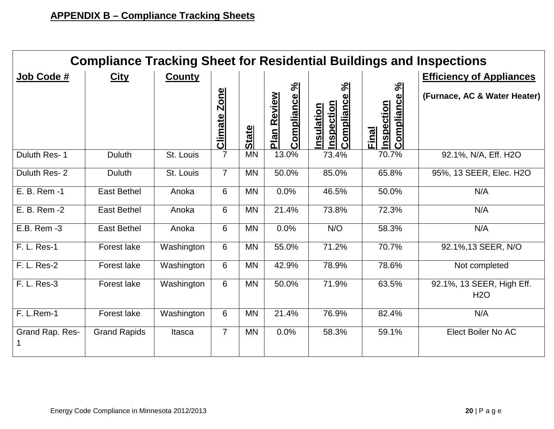|                 | <b>Compliance Tracking Sheet for Residential Buildings and Inspections</b> |               |                               |              |                                       |                                                                        |                                                             |                                         |  |  |  |  |  |  |
|-----------------|----------------------------------------------------------------------------|---------------|-------------------------------|--------------|---------------------------------------|------------------------------------------------------------------------|-------------------------------------------------------------|-----------------------------------------|--|--|--|--|--|--|
| Job Code #      | <b>City</b>                                                                | <b>County</b> |                               |              |                                       |                                                                        |                                                             | <b>Efficiency of Appliances</b>         |  |  |  |  |  |  |
|                 |                                                                            |               | <b>Zone</b><br><b>Climate</b> | <b>State</b> | Compliance %<br>Review<br><u>Plan</u> | $\mathbb{S}$<br>Compliance<br><b>Inspection</b><br>ation<br><u>sul</u> | $\aleph$<br>Compliance<br><b>Inspection</b><br><b>Final</b> | (Furnace, AC & Water Heater)            |  |  |  |  |  |  |
| Duluth Res-1    | Duluth                                                                     | St. Louis     | 7                             | <b>MN</b>    | 13.0%                                 | 73.4%                                                                  | 70.7%                                                       | 92.1%, N/A, Eff. H2O                    |  |  |  |  |  |  |
| Duluth Res-2    | <b>Duluth</b>                                                              | St. Louis     | $\overline{7}$                | <b>MN</b>    | 50.0%                                 | 85.0%                                                                  | 65.8%                                                       | 95%, 13 SEER, Elec. H2O                 |  |  |  |  |  |  |
| E. B. Rem -1    | <b>East Bethel</b>                                                         | Anoka         | 6                             | <b>MN</b>    | 0.0%                                  | 46.5%                                                                  | 50.0%                                                       | N/A                                     |  |  |  |  |  |  |
| E. B. Rem -2    | <b>East Bethel</b>                                                         | Anoka         | 6                             | <b>MN</b>    | 21.4%                                 | 73.8%                                                                  | 72.3%                                                       | N/A                                     |  |  |  |  |  |  |
| E.B. Rem -3     | <b>East Bethel</b>                                                         | Anoka         | 6                             | <b>MN</b>    | 0.0%                                  | N/O                                                                    | 58.3%                                                       | N/A                                     |  |  |  |  |  |  |
| F. L. Res-1     | <b>Forest lake</b>                                                         | Washington    | 6                             | <b>MN</b>    | 55.0%                                 | 71.2%                                                                  | 70.7%                                                       | 92.1%, 13 SEER, N/O                     |  |  |  |  |  |  |
| F. L. Res-2     | Forest lake                                                                | Washington    | 6                             | <b>MN</b>    | 42.9%                                 | 78.9%                                                                  | 78.6%                                                       | Not completed                           |  |  |  |  |  |  |
| F. L. Res-3     | <b>Forest lake</b>                                                         | Washington    | 6                             | <b>MN</b>    | 50.0%                                 | 71.9%                                                                  | 63.5%                                                       | 92.1%, 13 SEER, High Eff.<br><b>H2O</b> |  |  |  |  |  |  |
| F. L.Rem-1      | <b>Forest lake</b>                                                         | Washington    | 6                             | <b>MN</b>    | 21.4%                                 | 76.9%                                                                  | 82.4%                                                       | N/A                                     |  |  |  |  |  |  |
| Grand Rap. Res- | <b>Grand Rapids</b>                                                        | Itasca        | $\overline{7}$                | <b>MN</b>    | 0.0%                                  | 58.3%                                                                  | 59.1%                                                       | Elect Boiler No AC                      |  |  |  |  |  |  |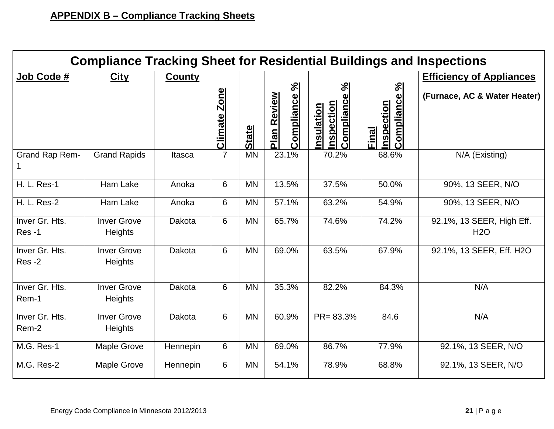| <b>Compliance Tracking Sheet for Residential Buildings and Inspections</b> |                                      |               |                               |              |                                    |                                        |                                            |                                         |  |  |  |  |  |
|----------------------------------------------------------------------------|--------------------------------------|---------------|-------------------------------|--------------|------------------------------------|----------------------------------------|--------------------------------------------|-----------------------------------------|--|--|--|--|--|
| Job Code #                                                                 | <b>City</b>                          | <b>County</b> |                               |              |                                    |                                        | <b>Efficiency of Appliances</b>            |                                         |  |  |  |  |  |
|                                                                            |                                      |               | <b>Zone</b><br><b>Climate</b> | <b>State</b> | Compliance %<br><b>Plan Review</b> | Compliance %<br>nspection<br>nsulation | Compliance %<br><b>Inspection</b><br>Final | (Furnace, AC & Water Heater)            |  |  |  |  |  |
| Grand Rap Rem-                                                             | <b>Grand Rapids</b>                  | Itasca        | $\overline{7}$                | <b>MN</b>    | 23.1%                              | 70.2%                                  | 68.6%                                      | N/A (Existing)                          |  |  |  |  |  |
| <b>H. L. Res-1</b>                                                         | Ham Lake                             | Anoka         | 6                             | <b>MN</b>    | 13.5%                              | 37.5%                                  | 50.0%                                      | 90%, 13 SEER, N/O                       |  |  |  |  |  |
| <b>H. L. Res-2</b>                                                         | Ham Lake                             | Anoka         | 6                             | <b>MN</b>    | 57.1%                              | 63.2%                                  | 54.9%                                      | 90%, 13 SEER, N/O                       |  |  |  |  |  |
| Inver Gr. Hts.<br>Res-1                                                    | <b>Inver Grove</b><br>Heights        | Dakota        | 6                             | <b>MN</b>    | 65.7%                              | 74.6%                                  | 74.2%                                      | 92.1%, 13 SEER, High Eff.<br><b>H2O</b> |  |  |  |  |  |
| Inver Gr. Hts.<br>Res-2                                                    | <b>Inver Grove</b><br>Heights        | Dakota        | 6                             | <b>MN</b>    | 69.0%                              | 63.5%                                  | 67.9%                                      | 92.1%, 13 SEER, Eff. H2O                |  |  |  |  |  |
| Inver Gr. Hts.<br>Rem-1                                                    | <b>Inver Grove</b><br><b>Heights</b> | Dakota        | 6                             | <b>MN</b>    | 35.3%                              | 82.2%                                  | 84.3%                                      | N/A                                     |  |  |  |  |  |
| Inver Gr. Hts.<br>Rem-2                                                    | <b>Inver Grove</b><br>Heights        | Dakota        | 6                             | <b>MN</b>    | 60.9%                              | $PR = 83.3%$                           | 84.6                                       | N/A                                     |  |  |  |  |  |
| M.G. Res-1                                                                 | <b>Maple Grove</b>                   | Hennepin      | 6                             | <b>MN</b>    | 69.0%                              | 86.7%                                  | 77.9%                                      | 92.1%, 13 SEER, N/O                     |  |  |  |  |  |
| M.G. Res-2                                                                 | <b>Maple Grove</b>                   | Hennepin      | 6                             | <b>MN</b>    | 54.1%                              | 78.9%                                  | 68.8%                                      | 92.1%, 13 SEER, N/O                     |  |  |  |  |  |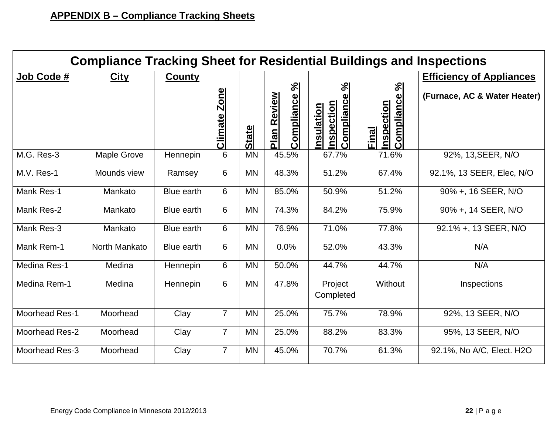| <b>Compliance Tracking Sheet for Residential Buildings and Inspections</b> |                    |                   |                               |              |                                        |                                                                  |                                                   |                              |  |  |  |  |  |
|----------------------------------------------------------------------------|--------------------|-------------------|-------------------------------|--------------|----------------------------------------|------------------------------------------------------------------|---------------------------------------------------|------------------------------|--|--|--|--|--|
| Job Code #                                                                 | <b>City</b>        | <b>County</b>     |                               |              |                                        |                                                                  | <b>Efficiency of Appliances</b>                   |                              |  |  |  |  |  |
|                                                                            |                    |                   | <b>Zone</b><br><b>Climate</b> | <b>State</b> | ಸಿ<br>Compliance<br><u>Plan Review</u> | $\aleph$<br>Compliance<br><b>Inspection</b><br><u>Insulation</u> | Compliance %<br><b>Inspection</b><br><b>Final</b> | (Furnace, AC & Water Heater) |  |  |  |  |  |
| M.G. Res-3                                                                 | <b>Maple Grove</b> | Hennepin          | 6                             | <b>MN</b>    | 45.5%                                  | 67.7%                                                            | 71.6%                                             | 92%, 13, SEER, N/O           |  |  |  |  |  |
| M.V. Res-1                                                                 | Mounds view        | Ramsey            | 6                             | <b>MN</b>    | 48.3%                                  | 51.2%                                                            | 67.4%                                             | 92.1%, 13 SEER, Elec, N/O    |  |  |  |  |  |
| Mank Res-1                                                                 | Mankato            | <b>Blue earth</b> | 6                             | <b>MN</b>    | 85.0%                                  | 50.9%                                                            | 51.2%                                             | 90% +, 16 SEER, N/O          |  |  |  |  |  |
| Mank Res-2                                                                 | Mankato            | Blue earth        | 6                             | <b>MN</b>    | 74.3%                                  | 84.2%                                                            | 75.9%                                             | 90% +, 14 SEER, N/O          |  |  |  |  |  |
| Mank Res-3                                                                 | Mankato            | Blue earth        | 6                             | <b>MN</b>    | 76.9%                                  | 71.0%                                                            | 77.8%                                             | 92.1% +, 13 SEER, N/O        |  |  |  |  |  |
| Mank Rem-1                                                                 | North Mankato      | Blue earth        | 6                             | <b>MN</b>    | 0.0%                                   | 52.0%                                                            | 43.3%                                             | N/A                          |  |  |  |  |  |
| Medina Res-1                                                               | Medina             | Hennepin          | 6                             | <b>MN</b>    | 50.0%                                  | 44.7%                                                            | 44.7%                                             | N/A                          |  |  |  |  |  |
| Medina Rem-1                                                               | Medina             | Hennepin          | 6                             | <b>MN</b>    | 47.8%                                  | Project<br>Completed                                             | Without                                           | Inspections                  |  |  |  |  |  |
| <b>Moorhead Res-1</b>                                                      | Moorhead           | Clay              | $\overline{7}$                | <b>MN</b>    | 25.0%                                  | 75.7%                                                            | 78.9%                                             | 92%, 13 SEER, N/O            |  |  |  |  |  |
| Moorhead Res-2                                                             | Moorhead           | Clay              | $\overline{7}$                | <b>MN</b>    | 25.0%                                  | 88.2%                                                            | 83.3%                                             | 95%, 13 SEER, N/O            |  |  |  |  |  |
| Moorhead Res-3                                                             | Moorhead           | Clay              | $\overline{7}$                | <b>MN</b>    | 45.0%                                  | 70.7%                                                            | 61.3%                                             | 92.1%, No A/C, Elect. H2O    |  |  |  |  |  |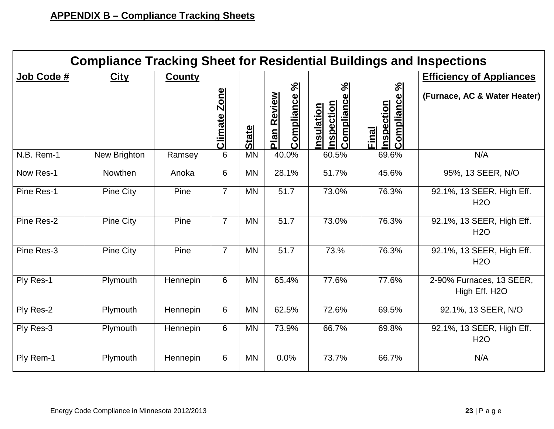|            | <b>Compliance Tracking Sheet for Residential Buildings and Inspections</b> |               |                               |              |                                              |                                                                |                                    |                                           |  |  |  |  |  |  |
|------------|----------------------------------------------------------------------------|---------------|-------------------------------|--------------|----------------------------------------------|----------------------------------------------------------------|------------------------------------|-------------------------------------------|--|--|--|--|--|--|
| Job Code # | <b>City</b>                                                                | <b>County</b> |                               |              |                                              |                                                                |                                    | <b>Efficiency of Appliances</b>           |  |  |  |  |  |  |
|            |                                                                            |               | <b>Zone</b><br><b>Climate</b> | <b>State</b> | $\aleph$<br>Compliance<br><b>Plan Review</b> | $\aleph$<br><b>Compliance</b><br>nspection<br><u>nsulation</u> | Compliance %<br>nspection<br>Final | (Furnace, AC & Water Heater)              |  |  |  |  |  |  |
| N.B. Rem-1 | New Brighton                                                               | Ramsey        | 6                             | <b>MN</b>    | 40.0%                                        | 60.5%                                                          | 69.6%                              | N/A                                       |  |  |  |  |  |  |
| Now Res-1  | Nowthen                                                                    | Anoka         | 6                             | <b>MN</b>    | 28.1%                                        | 51.7%                                                          | 45.6%                              | 95%, 13 SEER, N/O                         |  |  |  |  |  |  |
| Pine Res-1 | Pine City                                                                  | Pine          | $\overline{7}$                | <b>MN</b>    | 51.7                                         | 73.0%                                                          | 76.3%                              | 92.1%, 13 SEER, High Eff.<br><b>H2O</b>   |  |  |  |  |  |  |
| Pine Res-2 | Pine City                                                                  | Pine          | $\overline{7}$                | <b>MN</b>    | 51.7                                         | 73.0%                                                          | 76.3%                              | 92.1%, 13 SEER, High Eff.<br><b>H2O</b>   |  |  |  |  |  |  |
| Pine Res-3 | <b>Pine City</b>                                                           | Pine          | $\overline{7}$                | <b>MN</b>    | 51.7                                         | 73.%                                                           | 76.3%                              | 92.1%, 13 SEER, High Eff.<br><b>H2O</b>   |  |  |  |  |  |  |
| Ply Res-1  | Plymouth                                                                   | Hennepin      | 6                             | <b>MN</b>    | 65.4%                                        | 77.6%                                                          | 77.6%                              | 2-90% Furnaces, 13 SEER,<br>High Eff. H2O |  |  |  |  |  |  |
| Ply Res-2  | Plymouth                                                                   | Hennepin      | 6                             | <b>MN</b>    | 62.5%                                        | 72.6%                                                          | 69.5%                              | 92.1%, 13 SEER, N/O                       |  |  |  |  |  |  |
| Ply Res-3  | Plymouth                                                                   | Hennepin      | 6                             | <b>MN</b>    | 73.9%                                        | 66.7%                                                          | 69.8%                              | 92.1%, 13 SEER, High Eff.<br><b>H2O</b>   |  |  |  |  |  |  |
| Ply Rem-1  | Plymouth                                                                   | Hennepin      | 6                             | <b>MN</b>    | 0.0%                                         | 73.7%                                                          | 66.7%                              | N/A                                       |  |  |  |  |  |  |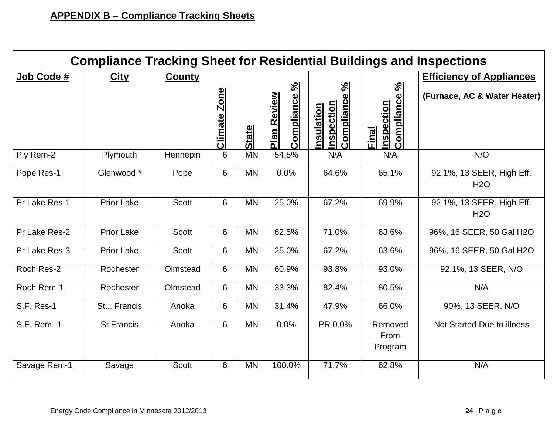| <b>Compliance Tracking Sheet for Residential Buildings and Inspections</b> |                   |               |                        |              |                                       |                                                                          |                                            |                                         |  |  |  |  |  |
|----------------------------------------------------------------------------|-------------------|---------------|------------------------|--------------|---------------------------------------|--------------------------------------------------------------------------|--------------------------------------------|-----------------------------------------|--|--|--|--|--|
| Job Code #                                                                 | <b>City</b>       | <b>County</b> |                        |              |                                       |                                                                          |                                            | <b>Efficiency of Appliances</b>         |  |  |  |  |  |
|                                                                            |                   |               | <b>Zone</b><br>Climate | <b>State</b> | Compliance %<br>Review<br><u>Plan</u> | $\aleph$<br>$\boldsymbol{\omega}$<br>Complianc<br>nspection<br>nsulation | Compliance %<br><b>Inspection</b><br>Final | (Furnace, AC & Water Heater)            |  |  |  |  |  |
| Ply Rem-2                                                                  | Plymouth          | Hennepin      | 6                      | <b>MN</b>    | 54.5%                                 | N/A                                                                      | N/A                                        | N/O                                     |  |  |  |  |  |
| Pope Res-1                                                                 | Glenwood *        | Pope          | 6                      | <b>MN</b>    | 0.0%                                  | 64.6%                                                                    | 65.1%                                      | 92.1%, 13 SEER, High Eff.<br><b>H2O</b> |  |  |  |  |  |
| Pr Lake Res-1                                                              | <b>Prior Lake</b> | <b>Scott</b>  | 6                      | <b>MN</b>    | 25.0%                                 | 67.2%                                                                    | 69.9%                                      | 92.1%, 13 SEER, High Eff.<br>H2O        |  |  |  |  |  |
| Pr Lake Res-2                                                              | <b>Prior Lake</b> | Scott         | 6                      | <b>MN</b>    | 62.5%                                 | 71.0%                                                                    | 63.6%                                      | 96%, 16 SEER, 50 Gal H2O                |  |  |  |  |  |
| Pr Lake Res-3                                                              | <b>Prior Lake</b> | <b>Scott</b>  | 6                      | <b>MN</b>    | 25.0%                                 | 67.2%                                                                    | 63.6%                                      | 96%, 16 SEER, 50 Gal H2O                |  |  |  |  |  |
| Roch Res-2                                                                 | Rochester         | Olmstead      | 6                      | <b>MN</b>    | 60.9%                                 | 93.8%                                                                    | 93.0%                                      | 92.1%, 13 SEER, N/O                     |  |  |  |  |  |
| Roch Rem-1                                                                 | Rochester         | Olmstead      | 6                      | <b>MN</b>    | 33.3%                                 | 82.4%                                                                    | 80.5%                                      | N/A                                     |  |  |  |  |  |
| S.F. Res-1                                                                 | St Francis        | Anoka         | 6                      | <b>MN</b>    | 31.4%                                 | 47.9%                                                                    | 66.0%                                      | 90%, 13 SEER, N/O                       |  |  |  |  |  |
| S.F. Rem -1                                                                | <b>St Francis</b> | Anoka         | 6                      | <b>MN</b>    | 0.0%                                  | PR 0.0%                                                                  | Removed<br>From<br>Program                 | Not Started Due to illness              |  |  |  |  |  |
| Savage Rem-1                                                               | Savage            | <b>Scott</b>  | 6                      | <b>MN</b>    | 100.0%                                | 71.7%                                                                    | 62.8%                                      | N/A                                     |  |  |  |  |  |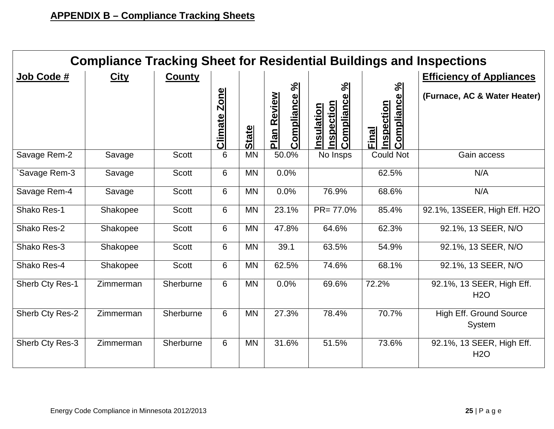| <b>Compliance Tracking Sheet for Residential Buildings and Inspections</b> |             |               |                               |              |                                              |                                                              |                                                  |                                          |  |  |  |  |  |
|----------------------------------------------------------------------------|-------------|---------------|-------------------------------|--------------|----------------------------------------------|--------------------------------------------------------------|--------------------------------------------------|------------------------------------------|--|--|--|--|--|
| Job Code #                                                                 | <b>City</b> | <b>County</b> |                               |              |                                              |                                                              |                                                  | <b>Efficiency of Appliances</b>          |  |  |  |  |  |
|                                                                            |             |               | <b>Zone</b><br><b>Climate</b> | <b>State</b> | $\aleph$<br>Compliance<br><b>Plan Review</b> | $\frac{5}{6}$<br>Compliance<br>nspection<br><b>nsulation</b> | $\%$<br>Compliance<br><b>Inspection</b><br>Final | (Furnace, AC & Water Heater)             |  |  |  |  |  |
| Savage Rem-2                                                               | Savage      | <b>Scott</b>  | 6                             | <b>MN</b>    | 50.0%                                        | No Insps                                                     | <b>Could Not</b>                                 | Gain access                              |  |  |  |  |  |
| Savage Rem-3                                                               | Savage      | <b>Scott</b>  | 6                             | <b>MN</b>    | 0.0%                                         |                                                              | 62.5%                                            | N/A                                      |  |  |  |  |  |
| Savage Rem-4                                                               | Savage      | <b>Scott</b>  | 6                             | <b>MN</b>    | 0.0%                                         | 76.9%                                                        | 68.6%                                            | N/A                                      |  |  |  |  |  |
| Shako Res-1                                                                | Shakopee    | <b>Scott</b>  | 6                             | <b>MN</b>    | 23.1%                                        | $PR = 77.0%$                                                 | 85.4%                                            | 92.1%, 13SEER, High Eff. H2O             |  |  |  |  |  |
| Shako Res-2                                                                | Shakopee    | <b>Scott</b>  | 6                             | <b>MN</b>    | 47.8%                                        | 64.6%                                                        | 62.3%                                            | 92.1%, 13 SEER, N/O                      |  |  |  |  |  |
| Shako Res-3                                                                | Shakopee    | <b>Scott</b>  | 6                             | <b>MN</b>    | 39.1                                         | 63.5%                                                        | 54.9%                                            | 92.1%, 13 SEER, N/O                      |  |  |  |  |  |
| Shako Res-4                                                                | Shakopee    | <b>Scott</b>  | 6                             | <b>MN</b>    | 62.5%                                        | 74.6%                                                        | 68.1%                                            | 92.1%, 13 SEER, N/O                      |  |  |  |  |  |
| Sherb Cty Res-1                                                            | Zimmerman   | Sherburne     | 6                             | <b>MN</b>    | 0.0%                                         | 69.6%                                                        | 72.2%                                            | 92.1%, 13 SEER, High Eff.<br><b>H2O</b>  |  |  |  |  |  |
| Sherb Cty Res-2                                                            | Zimmerman   | Sherburne     | 6                             | <b>MN</b>    | 27.3%                                        | 78.4%                                                        | 70.7%                                            | <b>High Eff. Ground Source</b><br>System |  |  |  |  |  |
| Sherb Cty Res-3                                                            | Zimmerman   | Sherburne     | 6                             | <b>MN</b>    | 31.6%                                        | 51.5%                                                        | 73.6%                                            | 92.1%, 13 SEER, High Eff.<br><b>H2O</b>  |  |  |  |  |  |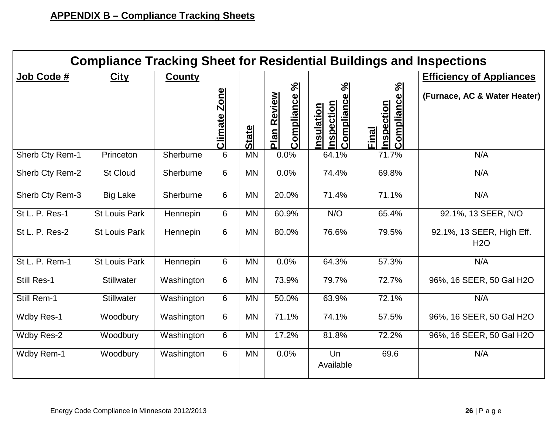|                   | <b>Compliance Tracking Sheet for Residential Buildings and Inspections</b> |               |                               |              |                                    |                                                   |                                           |                                         |  |  |  |  |  |  |
|-------------------|----------------------------------------------------------------------------|---------------|-------------------------------|--------------|------------------------------------|---------------------------------------------------|-------------------------------------------|-----------------------------------------|--|--|--|--|--|--|
| Job Code #        | <b>City</b>                                                                | <b>County</b> |                               |              |                                    |                                                   |                                           | <b>Efficiency of Appliances</b>         |  |  |  |  |  |  |
|                   |                                                                            |               | <b>Zone</b><br><b>Climate</b> | <b>State</b> | Compliance %<br><b>Plan Review</b> | ಸಿ<br>Compliance<br>nspection<br><b>nsulation</b> | Compliance %<br>nspection<br><b>Final</b> | (Furnace, AC & Water Heater)            |  |  |  |  |  |  |
| Sherb Cty Rem-1   | Princeton                                                                  | Sherburne     | 6                             | <b>MN</b>    | 0.0%                               | 64.1%                                             | 71.7%                                     | N/A                                     |  |  |  |  |  |  |
| Sherb Cty Rem-2   | <b>St Cloud</b>                                                            | Sherburne     | 6                             | <b>MN</b>    | 0.0%                               | 74.4%                                             | 69.8%                                     | N/A                                     |  |  |  |  |  |  |
| Sherb Cty Rem-3   | <b>Big Lake</b>                                                            | Sherburne     | 6                             | <b>MN</b>    | 20.0%                              | 71.4%                                             | 71.1%                                     | N/A                                     |  |  |  |  |  |  |
| St L. P. Res-1    | <b>St Louis Park</b>                                                       | Hennepin      | 6                             | <b>MN</b>    | 60.9%                              | N/O                                               | 65.4%                                     | 92.1%, 13 SEER, N/O                     |  |  |  |  |  |  |
| St L. P. Res-2    | <b>St Louis Park</b>                                                       | Hennepin      | 6                             | <b>MN</b>    | 80.0%                              | 76.6%                                             | 79.5%                                     | 92.1%, 13 SEER, High Eff.<br><b>H2O</b> |  |  |  |  |  |  |
| St L. P. Rem-1    | <b>St Louis Park</b>                                                       | Hennepin      | 6                             | <b>MN</b>    | 0.0%                               | 64.3%                                             | 57.3%                                     | N/A                                     |  |  |  |  |  |  |
| Still Res-1       | <b>Stillwater</b>                                                          | Washington    | 6                             | <b>MN</b>    | 73.9%                              | 79.7%                                             | 72.7%                                     | 96%, 16 SEER, 50 Gal H2O                |  |  |  |  |  |  |
| Still Rem-1       | <b>Stillwater</b>                                                          | Washington    | 6                             | <b>MN</b>    | 50.0%                              | 63.9%                                             | 72.1%                                     | N/A                                     |  |  |  |  |  |  |
| Wdby Res-1        | Woodbury                                                                   | Washington    | 6                             | <b>MN</b>    | 71.1%                              | 74.1%                                             | 57.5%                                     | 96%, 16 SEER, 50 Gal H2O                |  |  |  |  |  |  |
| Wdby Res-2        | Woodbury                                                                   | Washington    | 6                             | <b>MN</b>    | 17.2%                              | 81.8%                                             | 72.2%                                     | 96%, 16 SEER, 50 Gal H2O                |  |  |  |  |  |  |
| <b>Wdby Rem-1</b> | Woodbury                                                                   | Washington    | 6                             | <b>MN</b>    | 0.0%                               | Un<br>Available                                   | 69.6                                      | N/A                                     |  |  |  |  |  |  |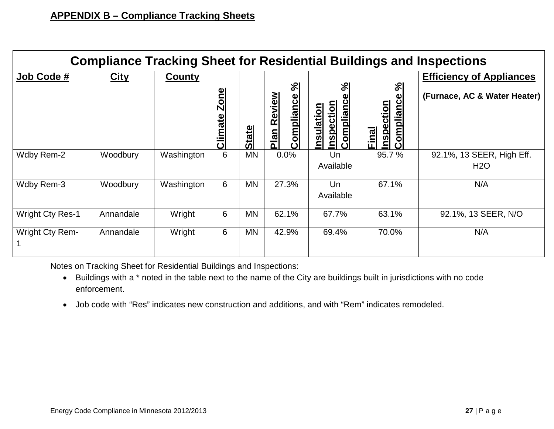| <b>Compliance Tracking Sheet for Residential Buildings and Inspections</b> |             |            |                        |              |                                          |                                                                                                         |                                                                                        |                                                                 |  |  |  |  |  |
|----------------------------------------------------------------------------|-------------|------------|------------------------|--------------|------------------------------------------|---------------------------------------------------------------------------------------------------------|----------------------------------------------------------------------------------------|-----------------------------------------------------------------|--|--|--|--|--|
| Job Code #                                                                 | <u>City</u> | County     | <b>Zone</b><br>Climate | <b>State</b> | $\aleph$<br>Review<br>Compliance<br>Plan | $\frac{1}{2}$<br>യ<br><b>omplianc</b><br>ction<br><u>nsulation</u><br>$\tilde{\mathbf{Q}}$<br><b>Sp</b> | $\mathcal{S}^{\mathsf{q}}$<br>$\boldsymbol{\omega}$<br>Complianc<br>nspection<br>Final | <b>Efficiency of Appliances</b><br>(Furnace, AC & Water Heater) |  |  |  |  |  |
| Wdby Rem-2                                                                 | Woodbury    | Washington | 6                      | <b>MN</b>    | 0.0%                                     | Un<br>Available                                                                                         | 95.7%                                                                                  | 92.1%, 13 SEER, High Eff.<br>H <sub>2</sub> O                   |  |  |  |  |  |
| Wdby Rem-3                                                                 | Woodbury    | Washington | 6                      | <b>MN</b>    | 27.3%                                    | Un<br>Available                                                                                         | 67.1%                                                                                  | N/A                                                             |  |  |  |  |  |
| <b>Wright Cty Res-1</b>                                                    | Annandale   | Wright     | 6                      | <b>MN</b>    | 62.1%                                    | 67.7%                                                                                                   | 63.1%                                                                                  | 92.1%, 13 SEER, N/O                                             |  |  |  |  |  |
| <b>Wright Cty Rem-</b>                                                     | Annandale   | Wright     | 6                      | MN           | 42.9%                                    | 69.4%                                                                                                   | 70.0%                                                                                  | N/A                                                             |  |  |  |  |  |

Notes on Tracking Sheet for Residential Buildings and Inspections:

- Buildings with a \* noted in the table next to the name of the City are buildings built in jurisdictions with no code enforcement.
- Job code with "Res" indicates new construction and additions, and with "Rem" indicates remodeled.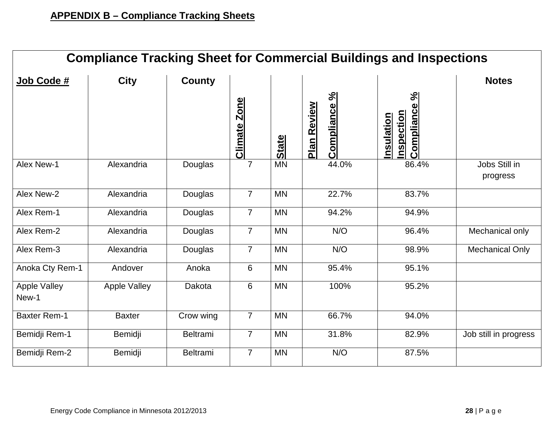|                              |                     |                 |                        |              |                                    | <b>Compliance Tracking Sheet for Commercial Buildings and Inspections</b> |                           |
|------------------------------|---------------------|-----------------|------------------------|--------------|------------------------------------|---------------------------------------------------------------------------|---------------------------|
| Job Code #                   | <b>City</b>         | <b>County</b>   |                        |              |                                    |                                                                           | <b>Notes</b>              |
|                              |                     |                 | <b>Zone</b><br>Climate | <b>State</b> | Compliance %<br><b>Plan Review</b> | $\aleph$<br>Compliance<br><b>nspection</b><br>Insulation                  |                           |
| Alex New-1                   | Alexandria          | Douglas         | $\overline{7}$         | <b>MN</b>    | 44.0%                              | 86.4%                                                                     | Jobs Still in<br>progress |
| Alex New-2                   | Alexandria          | Douglas         | $\overline{7}$         | <b>MN</b>    | 22.7%                              | 83.7%                                                                     |                           |
| Alex Rem-1                   | Alexandria          | Douglas         | $\overline{7}$         | <b>MN</b>    | 94.2%                              | 94.9%                                                                     |                           |
| Alex Rem-2                   | Alexandria          | Douglas         | $\overline{7}$         | <b>MN</b>    | N/O                                | 96.4%                                                                     | Mechanical only           |
| Alex Rem-3                   | Alexandria          | Douglas         | $\overline{7}$         | <b>MN</b>    | N/O                                | 98.9%                                                                     | <b>Mechanical Only</b>    |
| Anoka Cty Rem-1              | Andover             | Anoka           | 6                      | <b>MN</b>    | 95.4%                              | 95.1%                                                                     |                           |
| <b>Apple Valley</b><br>New-1 | <b>Apple Valley</b> | Dakota          | 6                      | <b>MN</b>    | 100%                               | 95.2%                                                                     |                           |
| <b>Baxter Rem-1</b>          | <b>Baxter</b>       | Crow wing       | $\overline{7}$         | <b>MN</b>    | 66.7%                              | 94.0%                                                                     |                           |
| Bemidji Rem-1                | Bemidji             | <b>Beltrami</b> | $\overline{7}$         | <b>MN</b>    | 31.8%                              | 82.9%                                                                     | Job still in progress     |
| Bemidji Rem-2                | Bemidji             | Beltrami        | $\overline{7}$         | <b>MN</b>    | N/O                                | 87.5%                                                                     |                           |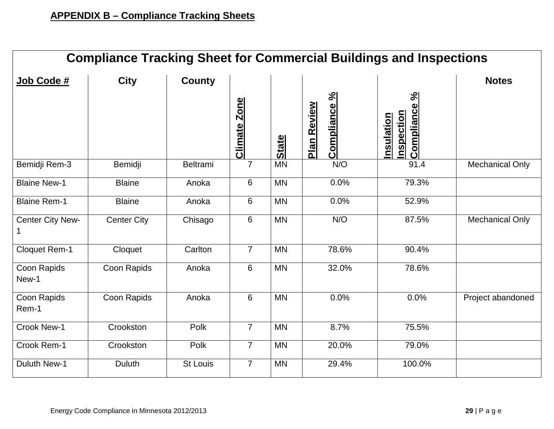| <b>Compliance Tracking Sheet for Commercial Buildings and Inspections</b> |                    |                 |                |              |                             |                                            |                        |  |  |
|---------------------------------------------------------------------------|--------------------|-----------------|----------------|--------------|-----------------------------|--------------------------------------------|------------------------|--|--|
| Job Code #                                                                | <b>City</b>        | <b>County</b>   |                |              |                             |                                            | <b>Notes</b>           |  |  |
|                                                                           |                    |                 | Climate Zone   | <b>State</b> | Compliance %<br>Plan Review | ಸಿ<br>ompliance<br>nspection<br>Insulation |                        |  |  |
| Bemidji Rem-3                                                             | Bemidji            | <b>Beltrami</b> | $\overline{7}$ | <b>MN</b>    | N/O                         | 91.4                                       | <b>Mechanical Only</b> |  |  |
| <b>Blaine New-1</b>                                                       | <b>Blaine</b>      | Anoka           | 6              | <b>MN</b>    | 0.0%                        | 79.3%                                      |                        |  |  |
| <b>Blaine Rem-1</b>                                                       | <b>Blaine</b>      | Anoka           | 6              | <b>MN</b>    | 0.0%                        | 52.9%                                      |                        |  |  |
| Center City New-                                                          | <b>Center City</b> | Chisago         | 6              | <b>MN</b>    | N/O                         | 87.5%                                      | <b>Mechanical Only</b> |  |  |
| Cloquet Rem-1                                                             | Cloquet            | Carlton         | $\overline{7}$ | <b>MN</b>    | 78.6%                       | 90.4%                                      |                        |  |  |
| Coon Rapids<br>New-1                                                      | Coon Rapids        | Anoka           | 6              | <b>MN</b>    | 32.0%                       | 78.6%                                      |                        |  |  |
| Coon Rapids<br>Rem-1                                                      | Coon Rapids        | Anoka           | $6\,$          | <b>MN</b>    | 0.0%                        | 0.0%                                       | Project abandoned      |  |  |
| Crook New-1                                                               | Crookston          | Polk            | $\overline{7}$ | <b>MN</b>    | 8.7%                        | 75.5%                                      |                        |  |  |
| Crook Rem-1                                                               | Crookston          | Polk            | $\overline{7}$ | <b>MN</b>    | 20.0%                       | 79.0%                                      |                        |  |  |
| <b>Duluth New-1</b>                                                       | <b>Duluth</b>      | <b>St Louis</b> | $\overline{7}$ | <b>MN</b>    | 29.4%                       | 100.0%                                     |                        |  |  |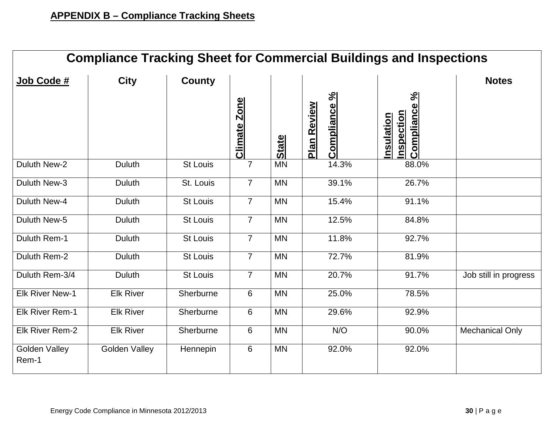|                               | <b>Compliance Tracking Sheet for Commercial Buildings and Inspections</b> |                 |                     |              |                                    |                                                          |                        |  |  |  |
|-------------------------------|---------------------------------------------------------------------------|-----------------|---------------------|--------------|------------------------------------|----------------------------------------------------------|------------------------|--|--|--|
| Job Code #                    | <b>City</b>                                                               | <b>County</b>   |                     |              |                                    |                                                          | <b>Notes</b>           |  |  |  |
|                               |                                                                           |                 | <b>Climate Zone</b> | <b>State</b> | Compliance %<br><b>Plan Review</b> | $\aleph$<br>Compliance<br>nspection<br><u>Insulation</u> |                        |  |  |  |
| Duluth New-2                  | <b>Duluth</b>                                                             | <b>St Louis</b> | $\overline{7}$      | <b>MN</b>    | 14.3%                              | 88.0%                                                    |                        |  |  |  |
| Duluth New-3                  | <b>Duluth</b>                                                             | St. Louis       | $\overline{7}$      | <b>MN</b>    | 39.1%                              | 26.7%                                                    |                        |  |  |  |
| Duluth New-4                  | <b>Duluth</b>                                                             | <b>St Louis</b> | $\overline{7}$      | <b>MN</b>    | 15.4%                              | 91.1%                                                    |                        |  |  |  |
| Duluth New-5                  | <b>Duluth</b>                                                             | <b>St Louis</b> | $\overline{7}$      | <b>MN</b>    | 12.5%                              | 84.8%                                                    |                        |  |  |  |
| Duluth Rem-1                  | <b>Duluth</b>                                                             | <b>St Louis</b> | $\overline{7}$      | <b>MN</b>    | 11.8%                              | 92.7%                                                    |                        |  |  |  |
| Duluth Rem-2                  | <b>Duluth</b>                                                             | <b>St Louis</b> | $\overline{7}$      | <b>MN</b>    | 72.7%                              | 81.9%                                                    |                        |  |  |  |
| Duluth Rem-3/4                | <b>Duluth</b>                                                             | <b>St Louis</b> | $\overline{7}$      | <b>MN</b>    | 20.7%                              | 91.7%                                                    | Job still in progress  |  |  |  |
| <b>Elk River New-1</b>        | <b>Elk River</b>                                                          | Sherburne       | 6                   | <b>MN</b>    | 25.0%                              | 78.5%                                                    |                        |  |  |  |
| <b>Elk River Rem-1</b>        | <b>Elk River</b>                                                          | Sherburne       | 6                   | <b>MN</b>    | 29.6%                              | 92.9%                                                    |                        |  |  |  |
| Elk River Rem-2               | <b>Elk River</b>                                                          | Sherburne       | 6                   | <b>MN</b>    | N/O                                | 90.0%                                                    | <b>Mechanical Only</b> |  |  |  |
| <b>Golden Valley</b><br>Rem-1 | <b>Golden Valley</b>                                                      | Hennepin        | 6                   | <b>MN</b>    | 92.0%                              | 92.0%                                                    |                        |  |  |  |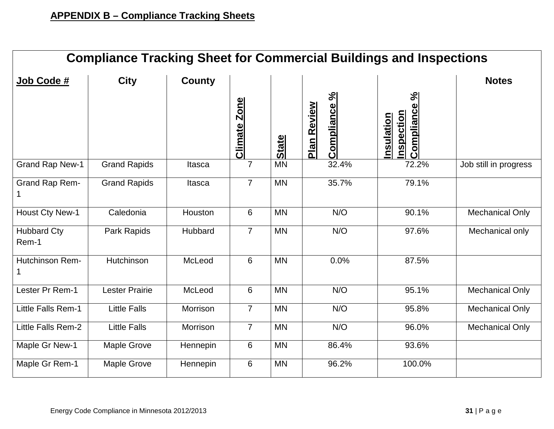| <b>Compliance Tracking Sheet for Commercial Buildings and Inspections</b> |                       |               |                               |              |                             |                                                  |                        |  |
|---------------------------------------------------------------------------|-----------------------|---------------|-------------------------------|--------------|-----------------------------|--------------------------------------------------|------------------------|--|
| Job Code #                                                                | <b>City</b>           | <b>County</b> |                               |              |                             |                                                  | <b>Notes</b>           |  |
|                                                                           |                       |               | <b>Zone</b><br><b>Climate</b> | <b>State</b> | Compliance %<br>Plan Review | $\aleph$<br>Compliance<br>nspection<br>nsulation |                        |  |
| <b>Grand Rap New-1</b>                                                    | <b>Grand Rapids</b>   | Itasca        | $\overline{7}$                | <b>MN</b>    | 32.4%                       | 72.2%                                            | Job still in progress  |  |
| Grand Rap Rem-                                                            | <b>Grand Rapids</b>   | Itasca        | $\overline{7}$                | <b>MN</b>    | 35.7%                       | 79.1%                                            |                        |  |
| <b>Houst Cty New-1</b>                                                    | Caledonia             | Houston       | 6                             | <b>MN</b>    | N/O                         | 90.1%                                            | Mechanical Only        |  |
| <b>Hubbard Cty</b><br>Rem-1                                               | Park Rapids           | Hubbard       | $\overline{7}$                | <b>MN</b>    | N/O                         | 97.6%                                            | Mechanical only        |  |
| Hutchinson Rem-                                                           | Hutchinson            | McLeod        | 6                             | <b>MN</b>    | 0.0%                        | 87.5%                                            |                        |  |
| Lester Pr Rem-1                                                           | <b>Lester Prairie</b> | McLeod        | 6                             | <b>MN</b>    | N/O                         | 95.1%                                            | <b>Mechanical Only</b> |  |
| Little Falls Rem-1                                                        | <b>Little Falls</b>   | Morrison      | $\overline{7}$                | <b>MN</b>    | N/O                         | 95.8%                                            | <b>Mechanical Only</b> |  |
| Little Falls Rem-2                                                        | <b>Little Falls</b>   | Morrison      | $\overline{7}$                | <b>MN</b>    | N/O                         | 96.0%                                            | <b>Mechanical Only</b> |  |
| Maple Gr New-1                                                            | Maple Grove           | Hennepin      | 6                             | <b>MN</b>    | 86.4%                       | 93.6%                                            |                        |  |
| Maple Gr Rem-1                                                            | Maple Grove           | Hennepin      | 6                             | <b>MN</b>    | 96.2%                       | 100.0%                                           |                        |  |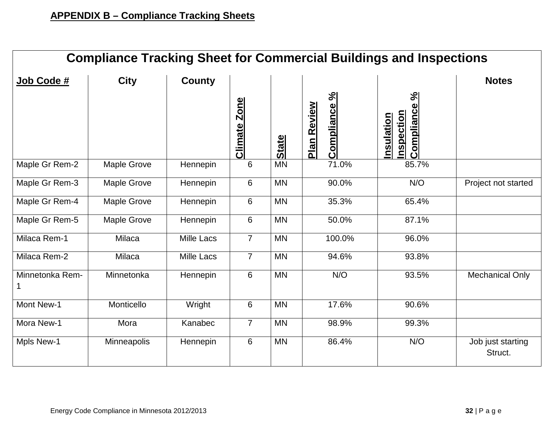| <b>Compliance Tracking Sheet for Commercial Buildings and Inspections</b> |             |                   |                        |              |                                    |                                                                                    |                              |  |  |
|---------------------------------------------------------------------------|-------------|-------------------|------------------------|--------------|------------------------------------|------------------------------------------------------------------------------------|------------------------------|--|--|
| Job Code #                                                                | <b>City</b> | <b>County</b>     |                        |              |                                    |                                                                                    | <b>Notes</b>                 |  |  |
|                                                                           |             |                   | <b>Zone</b><br>Climate | <b>State</b> | Compliance %<br><b>Plan Review</b> | s <sup>q</sup><br>$\mathbf{\Omega}$<br><b>Complianc</b><br>nspection<br>Insulation |                              |  |  |
| Maple Gr Rem-2                                                            | Maple Grove | Hennepin          | 6                      | <b>MN</b>    | 71.0%                              | 85.7%                                                                              |                              |  |  |
| Maple Gr Rem-3                                                            | Maple Grove | Hennepin          | 6                      | <b>MN</b>    | 90.0%                              | N/O                                                                                | Project not started          |  |  |
| Maple Gr Rem-4                                                            | Maple Grove | Hennepin          | 6                      | <b>MN</b>    | 35.3%                              | 65.4%                                                                              |                              |  |  |
| Maple Gr Rem-5                                                            | Maple Grove | Hennepin          | 6                      | <b>MN</b>    | 50.0%                              | 87.1%                                                                              |                              |  |  |
| Milaca Rem-1                                                              | Milaca      | <b>Mille Lacs</b> | $\overline{7}$         | <b>MN</b>    | 100.0%                             | 96.0%                                                                              |                              |  |  |
| Milaca Rem-2                                                              | Milaca      | <b>Mille Lacs</b> | $\overline{7}$         | <b>MN</b>    | 94.6%                              | 93.8%                                                                              |                              |  |  |
| Minnetonka Rem-<br>1                                                      | Minnetonka  | Hennepin          | 6                      | <b>MN</b>    | N/O                                | 93.5%                                                                              | <b>Mechanical Only</b>       |  |  |
| Mont New-1                                                                | Monticello  | Wright            | 6                      | <b>MN</b>    | 17.6%                              | 90.6%                                                                              |                              |  |  |
| Mora New-1                                                                | Mora        | Kanabec           | $\overline{7}$         | <b>MN</b>    | 98.9%                              | 99.3%                                                                              |                              |  |  |
| Mpls New-1                                                                | Minneapolis | Hennepin          | $6\phantom{1}$         | <b>MN</b>    | 86.4%                              | N/O                                                                                | Job just starting<br>Struct. |  |  |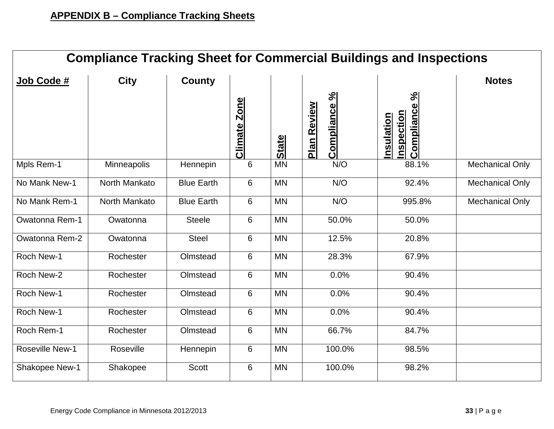| <b>Compliance Tracking Sheet for Commercial Buildings and Inspections</b> |               |                   |                               |              |                             |                                                               |                        |  |  |
|---------------------------------------------------------------------------|---------------|-------------------|-------------------------------|--------------|-----------------------------|---------------------------------------------------------------|------------------------|--|--|
| Job Code #                                                                | <b>City</b>   | <b>County</b>     |                               |              |                             |                                                               | <b>Notes</b>           |  |  |
|                                                                           |               |                   | <b>Zone</b><br><b>Climate</b> | <b>State</b> | Compliance %<br>Plan Review | $\frac{5}{6}$<br>Compliance<br>nspection<br><u>Insulation</u> |                        |  |  |
| Mpls Rem-1                                                                | Minneapolis   | Hennepin          | 6                             | <b>MN</b>    | N/O                         | 88.1%                                                         | <b>Mechanical Only</b> |  |  |
| No Mank New-1                                                             | North Mankato | <b>Blue Earth</b> | 6                             | <b>MN</b>    | N/O                         | 92.4%                                                         | <b>Mechanical Only</b> |  |  |
| No Mank Rem-1                                                             | North Mankato | <b>Blue Earth</b> | 6                             | <b>MN</b>    | N/O                         | 995.8%                                                        | <b>Mechanical Only</b> |  |  |
| Owatonna Rem-1                                                            | Owatonna      | <b>Steele</b>     | 6                             | <b>MN</b>    | 50.0%                       | 50.0%                                                         |                        |  |  |
| Owatonna Rem-2                                                            | Owatonna      | <b>Steel</b>      | 6                             | <b>MN</b>    | 12.5%                       | 20.8%                                                         |                        |  |  |
| Roch New-1                                                                | Rochester     | Olmstead          | $6\phantom{1}6$               | <b>MN</b>    | 28.3%                       | 67.9%                                                         |                        |  |  |
| Roch New-2                                                                | Rochester     | Olmstead          | 6                             | <b>MN</b>    | 0.0%                        | 90.4%                                                         |                        |  |  |
| Roch New-1                                                                | Rochester     | Olmstead          | 6                             | <b>MN</b>    | 0.0%                        | 90.4%                                                         |                        |  |  |
| Roch New-1                                                                | Rochester     | Olmstead          | 6                             | <b>MN</b>    | 0.0%                        | 90.4%                                                         |                        |  |  |
| Roch Rem-1                                                                | Rochester     | Olmstead          | 6                             | <b>MN</b>    | 66.7%                       | 84.7%                                                         |                        |  |  |
| <b>Roseville New-1</b>                                                    | Roseville     | Hennepin          | 6                             | <b>MN</b>    | 100.0%                      | 98.5%                                                         |                        |  |  |
| Shakopee New-1                                                            | Shakopee      | Scott             | 6                             | <b>MN</b>    | 100.0%                      | 98.2%                                                         |                        |  |  |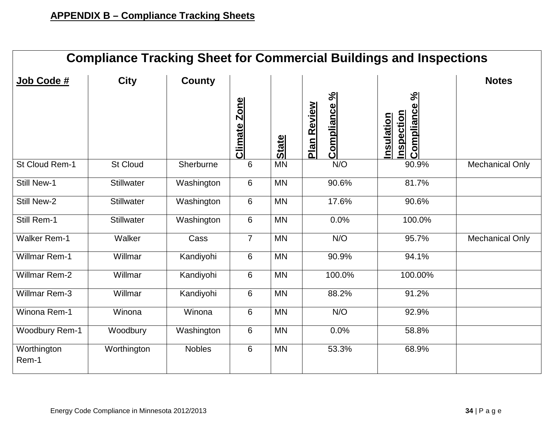| <b>Compliance Tracking Sheet for Commercial Buildings and Inspections</b> |                   |               |                |              |                             |                                                   |                        |  |  |
|---------------------------------------------------------------------------|-------------------|---------------|----------------|--------------|-----------------------------|---------------------------------------------------|------------------------|--|--|
| Job Code #                                                                | <b>City</b>       | <b>County</b> |                |              |                             |                                                   | <b>Notes</b>           |  |  |
|                                                                           |                   |               | Climate Zone   | <b>State</b> | Compliance %<br>Plan Review | $\aleph$<br>Compliance<br>nspection<br>Insulation |                        |  |  |
| St Cloud Rem-1                                                            | <b>St Cloud</b>   | Sherburne     | 6              | <b>MN</b>    | N/O                         | 90.9%                                             | <b>Mechanical Only</b> |  |  |
| <b>Still New-1</b>                                                        | <b>Stillwater</b> | Washington    | 6              | <b>MN</b>    | 90.6%                       | 81.7%                                             |                        |  |  |
| <b>Still New-2</b>                                                        | <b>Stillwater</b> | Washington    | 6              | <b>MN</b>    | 17.6%                       | 90.6%                                             |                        |  |  |
| Still Rem-1                                                               | <b>Stillwater</b> | Washington    | 6              | <b>MN</b>    | 0.0%                        | 100.0%                                            |                        |  |  |
| <b>Walker Rem-1</b>                                                       | Walker            | Cass          | $\overline{7}$ | <b>MN</b>    | N/O                         | 95.7%                                             | <b>Mechanical Only</b> |  |  |
| <b>Willmar Rem-1</b>                                                      | Willmar           | Kandiyohi     | 6              | <b>MN</b>    | 90.9%                       | 94.1%                                             |                        |  |  |
| <b>Willmar Rem-2</b>                                                      | Willmar           | Kandiyohi     | 6              | <b>MN</b>    | 100.0%                      | 100.00%                                           |                        |  |  |
| <b>Willmar Rem-3</b>                                                      | Willmar           | Kandiyohi     | 6              | <b>MN</b>    | 88.2%                       | 91.2%                                             |                        |  |  |
| Winona Rem-1                                                              | Winona            | Winona        | 6              | <b>MN</b>    | N/O                         | 92.9%                                             |                        |  |  |
| <b>Woodbury Rem-1</b>                                                     | Woodbury          | Washington    | 6              | <b>MN</b>    | 0.0%                        | 58.8%                                             |                        |  |  |
| Worthington<br>Rem-1                                                      | Worthington       | <b>Nobles</b> | 6              | <b>MN</b>    | 53.3%                       | 68.9%                                             |                        |  |  |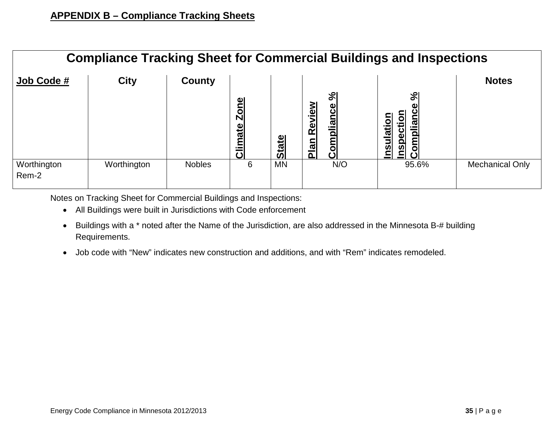| <b>Compliance Tracking Sheet for Commercial Buildings and Inspections</b> |             |               |                                   |              |                                                         |                                                                                                                                |                        |  |  |
|---------------------------------------------------------------------------|-------------|---------------|-----------------------------------|--------------|---------------------------------------------------------|--------------------------------------------------------------------------------------------------------------------------------|------------------------|--|--|
| Job Code #                                                                | <b>City</b> | County        |                                   |              |                                                         |                                                                                                                                | <b>Notes</b>           |  |  |
|                                                                           |             |               | <u>Zone</u><br><b>limate</b><br>ပ | <b>State</b> | $\aleph$<br>Review<br>pliance<br>om<br><u>Plan</u><br>ပ | $\aleph$<br>ပ<br>ction<br>ation<br><u>omplian</u><br>$\ddot{\mathbf{a}}$<br>$\overline{\mathsf{S}}$<br>$\overline{\mathbf{S}}$ |                        |  |  |
| Worthington<br>Rem-2                                                      | Worthington | <b>Nobles</b> | 6                                 | <b>MN</b>    | N/O                                                     | 95.6%                                                                                                                          | <b>Mechanical Only</b> |  |  |

Notes on Tracking Sheet for Commercial Buildings and Inspections:

- All Buildings were built in Jurisdictions with Code enforcement
- Buildings with a \* noted after the Name of the Jurisdiction, are also addressed in the Minnesota B-# building Requirements.
- Job code with "New" indicates new construction and additions, and with "Rem" indicates remodeled.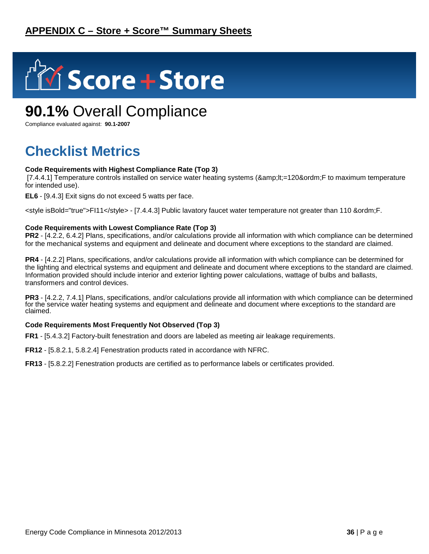

## **90.1%** Overall Compliance

Compliance evaluated against: **90.1-2007**

## **Checklist Metrics**

#### **Code Requirements with Highest Compliance Rate (Top 3)**

[7.4.4.1] Temperature controls installed on service water heating systems (<=120&ordm;F to maximum temperature for intended use).

**EL6** - [9.4.3] Exit signs do not exceed 5 watts per face.

<style isBold="true">FI11</style> - [7.4.4.3] Public lavatory faucet water temperature not greater than 110 &ordm;F.

#### **Code Requirements with Lowest Compliance Rate (Top 3)**

**PR2** - [4.2.2, 6.4.2] Plans, specifications, and/or calculations provide all information with which compliance can be determined for the mechanical systems and equipment and delineate and document where exceptions to the standard are claimed.

**PR4** - [4.2.2] Plans, specifications, and/or calculations provide all information with which compliance can be determined for the lighting and electrical systems and equipment and delineate and document where exceptions to the standard are claimed. Information provided should include interior and exterior lighting power calculations, wattage of bulbs and ballasts, transformers and control devices.

**PR3** - [4.2.2, 7.4.1] Plans, specifications, and/or calculations provide all information with which compliance can be determined for the service water heating systems and equipment and delineate and document where exceptions to the standard are claimed.

#### **Code Requirements Most Frequently Not Observed (Top 3)**

**FR1** - [5.4.3.2] Factory-built fenestration and doors are labeled as meeting air leakage requirements.

**FR12** - [5.8.2.1, 5.8.2.4] Fenestration products rated in accordance with NFRC.

**FR13** - [5.8.2.2] Fenestration products are certified as to performance labels or certificates provided.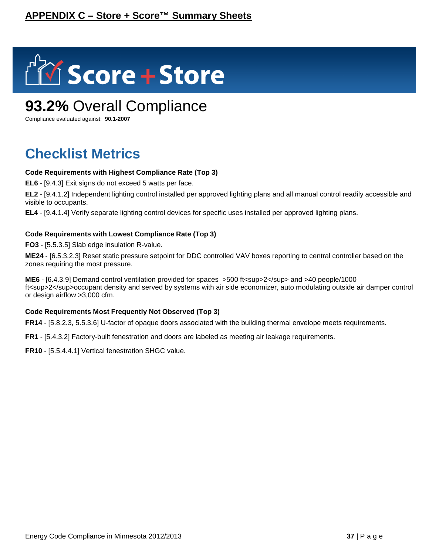

## **93.2%** Overall Compliance

Compliance evaluated against: **90.1-2007**

## **Checklist Metrics**

#### **Code Requirements with Highest Compliance Rate (Top 3)**

**EL6** - [9.4.3] Exit signs do not exceed 5 watts per face.

**EL2** - [9.4.1.2] Independent lighting control installed per approved lighting plans and all manual control readily accessible and visible to occupants.

**EL4** - [9.4.1.4] Verify separate lighting control devices for specific uses installed per approved lighting plans.

#### **Code Requirements with Lowest Compliance Rate (Top 3)**

**FO3** - [5.5.3.5] Slab edge insulation R-value.

**ME24** - [6.5.3.2.3] Reset static pressure setpoint for DDC controlled VAV boxes reporting to central controller based on the zones requiring the most pressure.

**ME6** - [6.4.3.9] Demand control ventilation provided for spaces >500 ft<sup>2</sup> and >40 people/1000 ft<sup>2</sup>occupant density and served by systems with air side economizer, auto modulating outside air damper control or design airflow >3,000 cfm.

#### **Code Requirements Most Frequently Not Observed (Top 3)**

**FR14** - [5.8.2.3, 5.5.3.6] U-factor of opaque doors associated with the building thermal envelope meets requirements.

**FR1** - [5.4.3.2] Factory-built fenestration and doors are labeled as meeting air leakage requirements.

**FR10** - [5.5.4.4.1] Vertical fenestration SHGC value.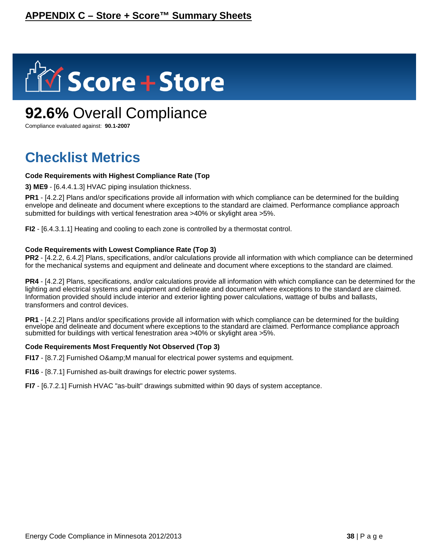

## **92.6%** Overall Compliance

Compliance evaluated against: **90.1-2007**

## **Checklist Metrics**

#### **Code Requirements with Highest Compliance Rate (Top**

**3) ME9** - [6.4.4.1.3] HVAC piping insulation thickness.

**PR1** - [4.2.2] Plans and/or specifications provide all information with which compliance can be determined for the building envelope and delineate and document where exceptions to the standard are claimed. Performance compliance approach submitted for buildings with vertical fenestration area >40% or skylight area >5%.

**FI2** - [6.4.3.1.1] Heating and cooling to each zone is controlled by a thermostat control.

#### **Code Requirements with Lowest Compliance Rate (Top 3)**

**PR2** - [4.2.2, 6.4.2] Plans, specifications, and/or calculations provide all information with which compliance can be determined for the mechanical systems and equipment and delineate and document where exceptions to the standard are claimed.

**PR4** - [4.2.2] Plans, specifications, and/or calculations provide all information with which compliance can be determined for the lighting and electrical systems and equipment and delineate and document where exceptions to the standard are claimed. Information provided should include interior and exterior lighting power calculations, wattage of bulbs and ballasts, transformers and control devices.

**PR1** - [4.2.2] Plans and/or specifications provide all information with which compliance can be determined for the building envelope and delineate and document where exceptions to the standard are claimed. Performance compliance approach submitted for buildings with vertical fenestration area >40% or skylight area >5%.

#### **Code Requirements Most Frequently Not Observed (Top 3)**

**FI17** - [8.7.2] Furnished O& M manual for electrical power systems and equipment.

**FI16** - [8.7.1] Furnished as-built drawings for electric power systems.

**FI7** - [6.7.2.1] Furnish HVAC "as-built" drawings submitted within 90 days of system acceptance.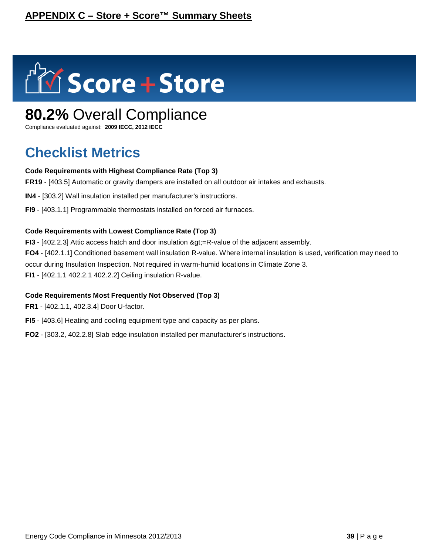

## **80.2%** Overall Compliance

Compliance evaluated against: **2009 IECC, 2012 IECC**

## **Checklist Metrics**

#### **Code Requirements with Highest Compliance Rate (Top 3)**

**FR19** - [403.5] Automatic or gravity dampers are installed on all outdoor air intakes and exhausts.

**IN4** - [303.2] Wall insulation installed per manufacturer's instructions.

**FI9** - [403.1.1] Programmable thermostats installed on forced air furnaces.

#### **Code Requirements with Lowest Compliance Rate (Top 3)**

**FI3** -  $[402.2.3]$  Attic access hatch and door insulation  $\>$ gt;=R-value of the adjacent assembly. **FO4** - [402.1.1] Conditioned basement wall insulation R-value. Where internal insulation is used, verification may need to occur during Insulation Inspection. Not required in warm-humid locations in Climate Zone 3. **FI1** - [402.1.1 402.2.1 402.2.2] Ceiling insulation R-value.

#### **Code Requirements Most Frequently Not Observed (Top 3)**

**FR1** - [402.1.1, 402.3.4] Door U-factor.

**FI5** - [403.6] Heating and cooling equipment type and capacity as per plans.

**FO2** - [303.2, 402.2.8] Slab edge insulation installed per manufacturer's instructions.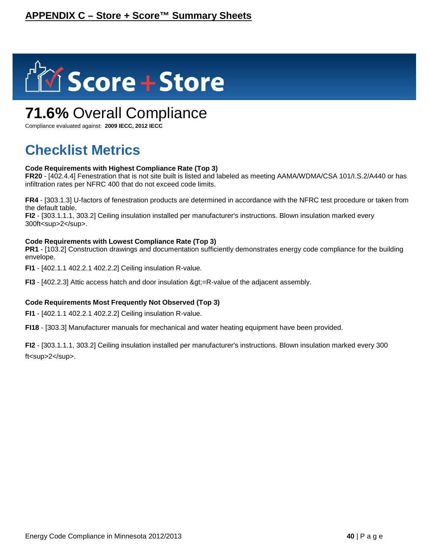

## **71.6%** Overall Compliance

Compliance evaluated against: **2009 IECC, 2012 IECC**

## **Checklist Metrics**

#### **Code Requirements with Highest Compliance Rate (Top 3)**

**FR20** - [402.4.4] Fenestration that is not site built is listed and labeled as meeting AAMA/WDMA/CSA 101/I.S.2/A440 or has infiltration rates per NFRC 400 that do not exceed code limits.

**FR4** - [303.1.3] U-factors of fenestration products are determined in accordance with the NFRC test procedure or taken from the default table.

**FI2** - [303.1.1.1, 303.2] Ceiling insulation installed per manufacturer's instructions. Blown insulation marked every 300ft<sup>2</sup>.

#### **Code Requirements with Lowest Compliance Rate (Top 3)**

**PR1** - [103.2] Construction drawings and documentation sufficiently demonstrates energy code compliance for the building envelope.

**FI1** - [402.1.1 402.2.1 402.2.2] Ceiling insulation R-value.

**FI3** - [402.2.3] Attic access hatch and door insulation > = R-value of the adjacent assembly.

#### **Code Requirements Most Frequently Not Observed (Top 3)**

**FI1** - [402.1.1 402.2.1 402.2.2] Ceiling insulation R-value.

**FI18** - [303.3] Manufacturer manuals for mechanical and water heating equipment have been provided.

**FI2** - [303.1.1.1, 303.2] Ceiling insulation installed per manufacturer's instructions. Blown insulation marked every 300 ft<sup>2</sup>.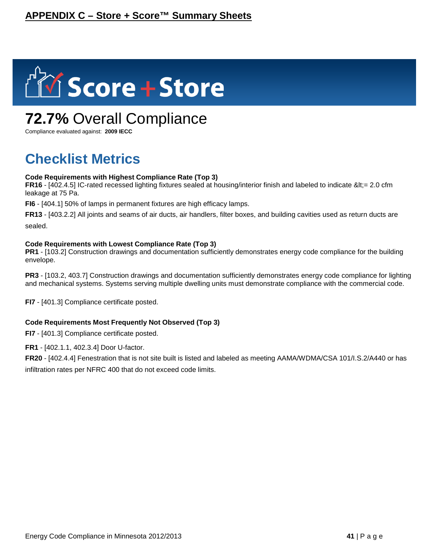

## **72.7%** Overall Compliance

Compliance evaluated against: **2009 IECC**

## **Checklist Metrics**

#### **Code Requirements with Highest Compliance Rate (Top 3)**

**FR16** -  $[402.4.5]$  IC-rated recessed lighting fixtures sealed at housing/interior finish and labeled to indicate  $< 2.0$  cfm leakage at 75 Pa.

**FI6** - [404.1] 50% of lamps in permanent fixtures are high efficacy lamps.

**FR13** - [403.2.2] All joints and seams of air ducts, air handlers, filter boxes, and building cavities used as return ducts are sealed.

#### **Code Requirements with Lowest Compliance Rate (Top 3)**

**PR1** - [103.2] Construction drawings and documentation sufficiently demonstrates energy code compliance for the building envelope.

**PR3** - [103.2, 403.7] Construction drawings and documentation sufficiently demonstrates energy code compliance for lighting and mechanical systems. Systems serving multiple dwelling units must demonstrate compliance with the commercial code.

**FI7** - [401.3] Compliance certificate posted.

#### **Code Requirements Most Frequently Not Observed (Top 3)**

**FI7** - [401.3] Compliance certificate posted.

**FR1** - [402.1.1, 402.3.4] Door U-factor.

**FR20** - [402.4.4] Fenestration that is not site built is listed and labeled as meeting AAMA/WDMA/CSA 101/I.S.2/A440 or has infiltration rates per NFRC 400 that do not exceed code limits.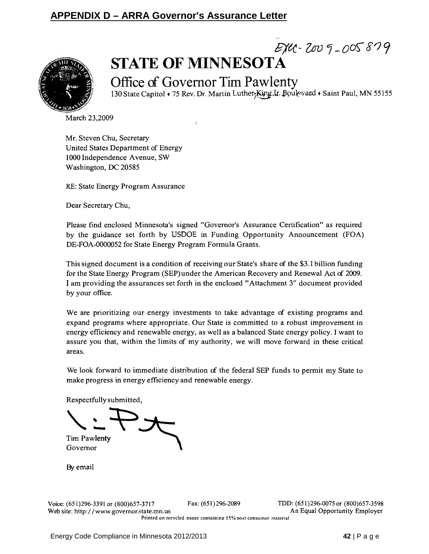### **APPENDIX D – ARRA Governor's Assurance Letter**



## $E_{1}^{2}U - 2009 - 005879$ **STATE OF MINNESOTA**

Office of Governor Tim Pawlenty 130 State Capitol . 75 Rev. Dr. Martin Luther, King. Ir. Boulevard . Saint Paul, MN 55155

March 23,2009

Mr. Steven Chu, Secretary United States Department of Energy 1000 Independence Avenue, SW Washington, DC 20585

RE: State Energy Program Assurance

Dear Secretary Chu,

Please find enclosed Minnesota's signed "Governor's Assurance Certification" as required by the guidance set forth by USDOE in Funding Opportunity Announcement (FOA) DE-FOA-0000052 for State Energy Program Formula Grants.

This signed document is a condition of receiving our State's share of the \$3.1 billion funding for the State Energy Program (SEP) under the American Recovery and Renewal Act of 2009. I am providing the assurances set forth in the enclosed "Attachment 3" document provided by your office.

We are prioritizing our energy investments to take advantage of existing programs and expand programs where appropriate. Our State is committed to a robust improvement in energy efficiency and renewable energy, as well as a balanced State energy policy. I want to assure you that, within the limits of my authority, we will move forward in these critical areas.

We look forward to immediate distribution of the federal SEP funds to permit my State to make progress in energy efficiency and renewable energy.

Respectfully submitted,

**Tim Pawlenty** 

Governor

By email

Fax: (651)296-2089

TDD: (651)296-0075 or (800)657-3598 An Equal Opportunity Employer

Printed on recycled paper containing 15% post consumer material